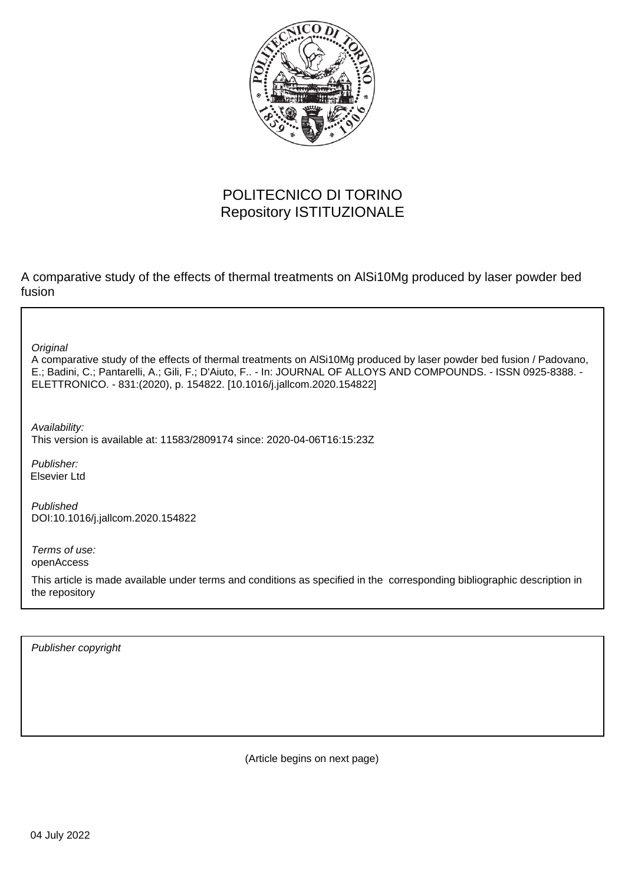

# POLITECNICO DI TORINO Repository ISTITUZIONALE

A comparative study of the effects of thermal treatments on AlSi10Mg produced by laser powder bed fusion

**Original** 

A comparative study of the effects of thermal treatments on AlSi10Mg produced by laser powder bed fusion / Padovano, E.; Badini, C.; Pantarelli, A.; Gili, F.; D'Aiuto, F.. - In: JOURNAL OF ALLOYS AND COMPOUNDS. - ISSN 0925-8388. - ELETTRONICO. - 831:(2020), p. 154822. [10.1016/j.jallcom.2020.154822]

Availability: This version is available at: 11583/2809174 since: 2020-04-06T16:15:23Z

Publisher: Elsevier Ltd

Published DOI:10.1016/j.jallcom.2020.154822

Terms of use: openAccess

This article is made available under terms and conditions as specified in the corresponding bibliographic description in the repository

Publisher copyright

(Article begins on next page)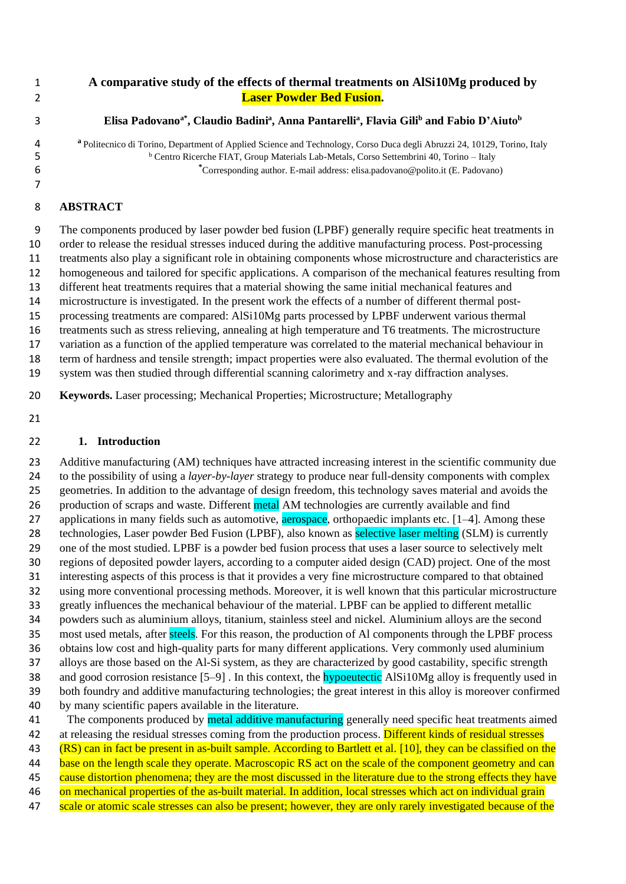# **A comparative study of the effects of thermal treatments on AlSi10Mg produced by Laser Powder Bed Fusion.**

# **Elisa Padovanoa\* , Claudio Badini<sup>a</sup> , Anna Pantarelli<sup>a</sup> , Flavia Gili<sup>b</sup> and Fabio D'Aiuto<sup>b</sup>**

**<sup>a</sup>** Politecnico di Torino, Department of Applied Science and Technology, Corso Duca degli Abruzzi 24, 10129, Torino, Italy <sup>b</sup> Centro Ricerche FIAT, Group Materials Lab-Metals, Corso Settembrini 40, Torino – Italy **\*** Corresponding author. E-mail address: [elisa.padovano@polito.it](mailto:elisa.padovano@polito.it) (E. Padovano)

### **ABSTRACT**

 The components produced by laser powder bed fusion (LPBF) generally require specific heat treatments in order to release the residual stresses induced during the additive manufacturing process. Post-processing treatments also play a significant role in obtaining components whose microstructure and characteristics are homogeneous and tailored for specific applications. A comparison of the mechanical features resulting from different heat treatments requires that a material showing the same initial mechanical features and microstructure is investigated. In the present work the effects of a number of different thermal post- processing treatments are compared: AlSi10Mg parts processed by LPBF underwent various thermal treatments such as stress relieving, annealing at high temperature and T6 treatments. The microstructure variation as a function of the applied temperature was correlated to the material mechanical behaviour in term of hardness and tensile strength; impact properties were also evaluated. The thermal evolution of the system was then studied through differential scanning calorimetry and x-ray diffraction analyses.

**Keywords.** Laser processing; Mechanical Properties; Microstructure; Metallography

#### **1. Introduction**

 Additive manufacturing (AM) techniques have attracted increasing interest in the scientific community due to the possibility of using a *layer-by-layer* strategy to produce near full-density components with complex geometries. In addition to the advantage of design freedom, this technology saves material and avoids the 26 production of scraps and waste. Different metal AM technologies are currently available and find 27 applications in many fields such as automotive, **aerospace**, orthopaedic implants etc. [1–4]. Among these 28 technologies, Laser powder Bed Fusion (LPBF), also known as **selective laser melting** (SLM) is currently one of the most studied. LPBF is a powder bed fusion process that uses a laser source to selectively melt regions of deposited powder layers, according to a computer aided design (CAD) project. One of the most interesting aspects of this process is that it provides a very fine microstructure compared to that obtained using more conventional processing methods. Moreover, it is well known that this particular microstructure greatly influences the mechanical behaviour of the material. LPBF can be applied to different metallic powders such as aluminium alloys, titanium, stainless steel and nickel. Aluminium alloys are the second 35 most used metals, after steels. For this reason, the production of Al components through the LPBF process obtains low cost and high-quality parts for many different applications. Very commonly used aluminium alloys are those based on the Al-Si system, as they are characterized by good castability, specific strength 38 and good corrosion resistance [5–9]. In this context, the **hypoeutectic** AlSi10Mg alloy is frequently used in both foundry and additive manufacturing technologies; the great interest in this alloy is moreover confirmed by many scientific papers available in the literature. 41 The components produced by metal additive manufacturing generally need specific heat treatments aimed

42 at releasing the residual stresses coming from the production process. Different kinds of residual stresses

(RS) can in fact be present in as-built sample. According to Bartlett et al. [10], they can be classified on the

44 base on the length scale they operate. Macroscopic RS act on the scale of the component geometry and can

45 cause distortion phenomena; they are the most discussed in the literature due to the strong effects they have

46 on mechanical properties of the as-built material. In addition, local stresses which act on individual grain

47 scale or atomic scale stresses can also be present; however, they are only rarely investigated because of the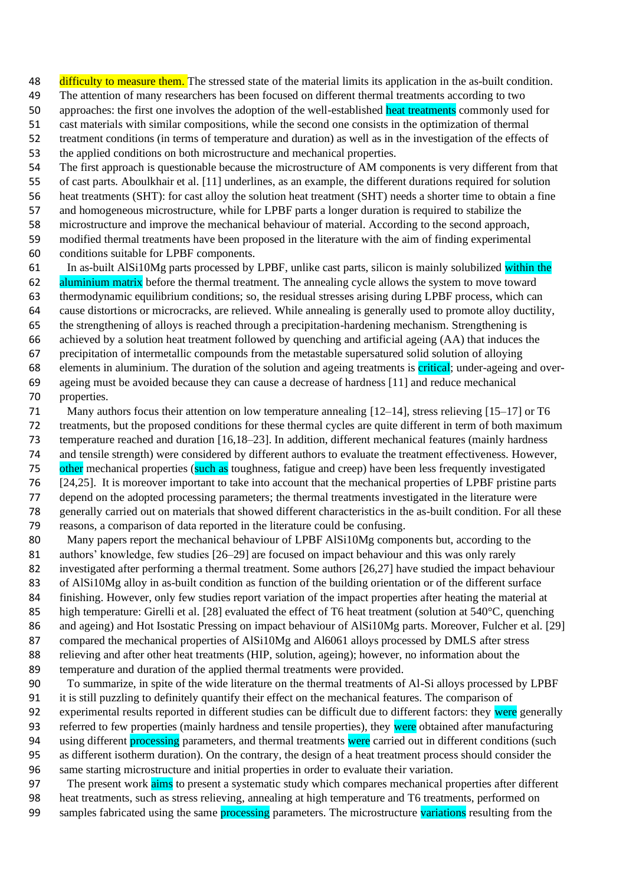48 difficulty to measure them. The stressed state of the material limits its application in the as-built condition.

The attention of many researchers has been focused on different thermal treatments according to two

50 approaches: the first one involves the adoption of the well-established heat treatments commonly used for

cast materials with similar compositions, while the second one consists in the optimization of thermal

 treatment conditions (in terms of temperature and duration) as well as in the investigation of the effects of the applied conditions on both microstructure and mechanical properties.

The first approach is questionable because the microstructure of AM components is very different from that

of cast parts. Aboulkhair et al. [11] underlines, as an example, the different durations required for solution

heat treatments (SHT): for cast alloy the solution heat treatment (SHT) needs a shorter time to obtain a fine

and homogeneous microstructure, while for LPBF parts a longer duration is required to stabilize the

microstructure and improve the mechanical behaviour of material. According to the second approach,

 modified thermal treatments have been proposed in the literature with the aim of finding experimental conditions suitable for LPBF components.

61 In as-built AlSi10Mg parts processed by LPBF, unlike cast parts, silicon is mainly solubilized within the 62 aluminium matrix before the thermal treatment. The annealing cycle allows the system to move toward thermodynamic equilibrium conditions; so, the residual stresses arising during LPBF process, which can cause distortions or microcracks, are relieved. While annealing is generally used to promote alloy ductility, the strengthening of alloys is reached through a precipitation-hardening mechanism. Strengthening is achieved by a solution heat treatment followed by quenching and artificial ageing (AA) that induces the precipitation of intermetallic compounds from the metastable supersatured solid solution of alloying 68 elements in aluminium. The duration of the solution and ageing treatments is critical; under-ageing and over- ageing must be avoided because they can cause a decrease of hardness [11] and reduce mechanical properties.

 Many authors focus their attention on low temperature annealing [12–14], stress relieving [15–17] or T6 treatments, but the proposed conditions for these thermal cycles are quite different in term of both maximum temperature reached and duration [16,18–23]. In addition, different mechanical features (mainly hardness and tensile strength) were considered by different authors to evaluate the treatment effectiveness. However, 75 other mechanical properties (such as toughness, fatigue and creep) have been less frequently investigated [24,25]. It is moreover important to take into account that the mechanical properties of LPBF pristine parts depend on the adopted processing parameters; the thermal treatments investigated in the literature were generally carried out on materials that showed different characteristics in the as-built condition. For all these reasons, a comparison of data reported in the literature could be confusing.

80 Many papers report the mechanical behaviour of LPBF AlSi10Mg components but, according to the 81 authors' knowledge, few studies [26–29] are focused on impact behaviour and this was only rarely investigated after performing a thermal treatment. Some authors [26,27] have studied the impact behaviour of AlSi10Mg alloy in as-built condition as function of the building orientation or of the different surface finishing. However, only few studies report variation of the impact properties after heating the material at 85 high temperature: Girelli et al. [28] evaluated the effect of T6 heat treatment (solution at 540°C, quenching 86 and ageing) and Hot Isostatic Pressing on impact behaviour of AlSi10Mg parts. Moreover, Fulcher et al. [29] compared the mechanical properties of AlSi10Mg and Al6061 alloys processed by DMLS after stress relieving and after other heat treatments (HIP, solution, ageing); however, no information about the temperature and duration of the applied thermal treatments were provided.

 To summarize, in spite of the wide literature on the thermal treatments of Al-Si alloys processed by LPBF it is still puzzling to definitely quantify their effect on the mechanical features. The comparison of 92 experimental results reported in different studies can be difficult due to different factors: they were generally 93 referred to few properties (mainly hardness and tensile properties), they were obtained after manufacturing 94 using different **processing** parameters, and thermal treatments were carried out in different conditions (such as different isotherm duration). On the contrary, the design of a heat treatment process should consider the same starting microstructure and initial properties in order to evaluate their variation.

97 The present work aims to present a systematic study which compares mechanical properties after different heat treatments, such as stress relieving, annealing at high temperature and T6 treatments, performed on 99 samples fabricated using the same processing parameters. The microstructure variations resulting from the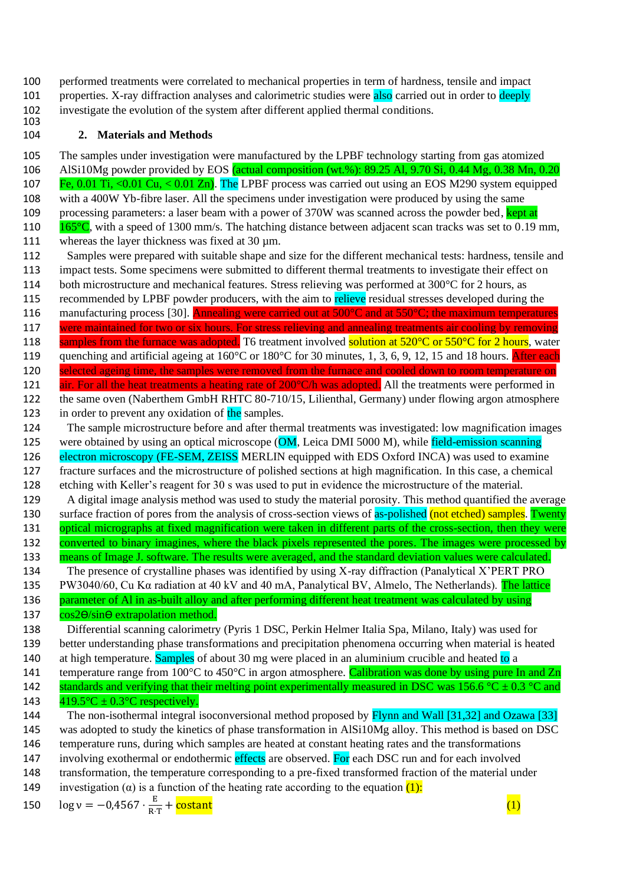100 performed treatments were correlated to mechanical properties in term of hardness, tensile and impact 101 properties. X-ray diffraction analyses and calorimetric studies were also carried out in order to deeply 102 investigate the evolution of the system after different applied thermal conditions. 103

# 104 **2. Materials and Methods**

105 The samples under investigation were manufactured by the LPBF technology starting from gas atomized 106 AlSi10Mg powder provided by EOS (actual composition (wt.%): 89.25 Al, 9.70 Si, 0.44 Mg, 0.38 Mn, 0.20 107 Fe, 0.01 Ti, <0.01 Cu, < 0.01 Zn). The LPBF process was carried out using an EOS M290 system equipped 108 with a 400W Yb-fibre laser. All the specimens under investigation were produced by using the same 109 processing parameters: a laser beam with a power of 370W was scanned across the powder bed, kept at 110  $165^{\circ}$ C, with a speed of 1300 mm/s. The hatching distance between adjacent scan tracks was set to 0.19 mm, 111 whereas the layer thickness was fixed at 30 µm. 112 Samples were prepared with suitable shape and size for the different mechanical tests: hardness, tensile and 113 impact tests. Some specimens were submitted to different thermal treatments to investigate their effect on 114 both microstructure and mechanical features. Stress relieving was performed at 300 °C for 2 hours, as 115 recommended by LPBF powder producers, with the aim to relieve residual stresses developed during the 116 manufacturing process [30]. Annealing were carried out at 500°C and at 550°C; the maximum temperatures 117 were maintained for two or six hours. For stress relieving and annealing treatments air cooling by removing 118 samples from the furnace was adopted. T6 treatment involved solution at 520°C or 550°C for 2 hours, water 119 quenching and artificial ageing at 160°C or 180°C for 30 minutes, 1, 3, 6, 9, 12, 15 and 18 hours. After each 120 selected ageing time, the samples were removed from the furnace and cooled down to room temperature on 121 air. For all the heat treatments a heating rate of 200°C/h was adopted. All the treatments were performed in 122 the same oven (Naberthem GmbH RHTC 80-710/15, Lilienthal, Germany) under flowing argon atmosphere 123 in order to prevent any oxidation of the samples. 124 The sample microstructure before and after thermal treatments was investigated: low magnification images 125 were obtained by using an optical microscope (OM, Leica DMI 5000 M), while field-emission scanning 126 electron microscopy (FE-SEM, ZEISS MERLIN equipped with EDS Oxford INCA) was used to examine 127 fracture surfaces and the microstructure of polished sections at high magnification. In this case, a chemical 128 etching with Keller's reagent for 30 s was used to put in evidence the microstructure of the material. 129 A digital image analysis method was used to study the material porosity. This method quantified the average 130 surface fraction of pores from the analysis of cross-section views of as-polished (not etched) samples. Twenty 131 optical micrographs at fixed magnification were taken in different parts of the cross-section, then they were 132 converted to binary imagines, where the black pixels represented the pores. The images were processed by 133 means of Image J. software. The results were averaged, and the standard deviation values were calculated. 134 The presence of crystalline phases was identified by using X-ray diffraction (Panalytical X'PERT PRO 135 PW3040/60, Cu K $\alpha$  radiation at 40 kV and 40 mA, Panalytical BV, Almelo, The Netherlands). The lattice 136 parameter of Al in as-built alloy and after performing different heat treatment was calculated by using 137  $\cos 2\theta / \sin \theta$  extrapolation method. 138 Differential scanning calorimetry (Pyris 1 DSC, Perkin Helmer Italia Spa, Milano, Italy) was used for 139 better understanding phase transformations and precipitation phenomena occurring when material is heated 140 at high temperature. Samples of about 30 mg were placed in an aluminium crucible and heated to a 141 temperature range from  $100^{\circ}$ C to  $450^{\circ}$ C in argon atmosphere. Calibration was done by using pure In and Zn 142 standards and verifying that their melting point experimentally measured in DSC was 156.6 °C  $\pm$  0.3 °C and 143  $419.5^{\circ}\text{C} \pm 0.3^{\circ}\text{C}$  respectively. 144 The non-isothermal integral isoconversional method proposed by Flynn and Wall [31,32] and Ozawa [33] 145 was adopted to study the kinetics of phase transformation in AlSi10Mg alloy. This method is based on DSC 146 temperature runs, during which samples are heated at constant heating rates and the transformations 147 involving exothermal or endothermic effects are observed. For each DSC run and for each involved 148 transformation, the temperature corresponding to a pre-fixed transformed fraction of the material under 149 investigation ( $\alpha$ ) is a function of the heating rate according to the equation (1):

 $\log v = -0.4567 \cdot \frac{E}{R}$ 150  $\log v = -0.4567 \cdot \frac{E}{R \cdot T} + \frac{\text{costant}}{R \cdot T}$  (1)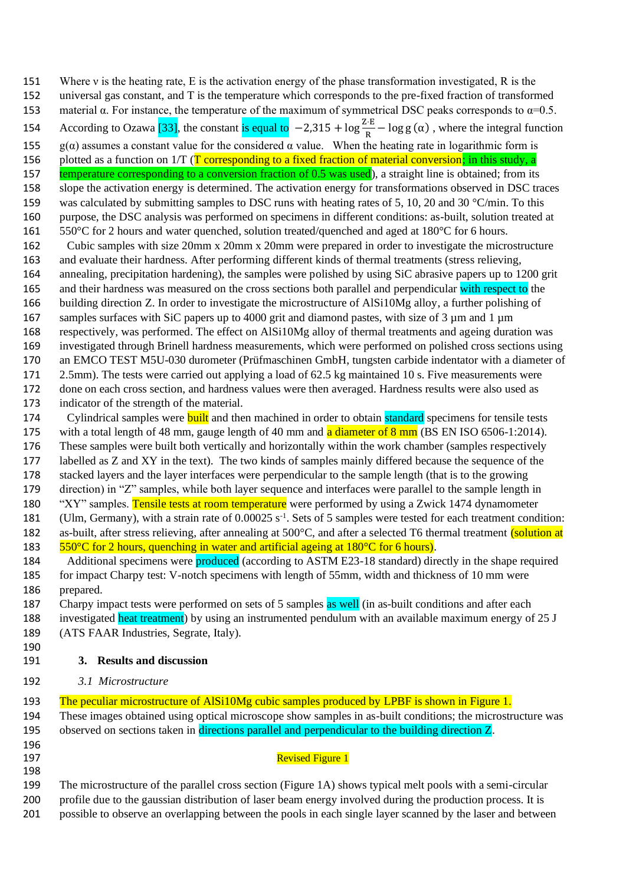- 151 Where *v* is the heating rate, E is the activation energy of the phase transformation investigated, R is the
- universal gas constant, and T is the temperature which corresponds to the pre-fixed fraction of transformed
- 153 material α. For instance, the temperature of the maximum of symmetrical DSC peaks corresponds to  $α=0.5$ .
- 154 According to Ozawa [33], the constant is equal to  $-2,315 + \log \frac{Z \cdot E}{R} \log g(α)$ , where the integral function
- 155 g(α) assumes a constant value for the considered α value. When the heating rate in logarithmic form is
- 156 plotted as a function on  $1/T$  (T corresponding to a fixed fraction of material conversion; in this study, a
- 157 temperature corresponding to a conversion fraction of 0.5 was used), a straight line is obtained; from its slope the activation energy is determined. The activation energy for transformations observed in DSC traces 159 was calculated by submitting samples to DSC runs with heating rates of 5, 10, 20 and 30  $\degree$ C/min. To this purpose, the DSC analysis was performed on specimens in different conditions: as-built, solution treated at
- 550°C for 2 hours and water quenched, solution treated/quenched and aged at 180°C for 6 hours.
- Cubic samples with size 20mm x 20mm x 20mm were prepared in order to investigate the microstructure and evaluate their hardness. After performing different kinds of thermal treatments (stress relieving,
- annealing, precipitation hardening), the samples were polished by using SiC abrasive papers up to 1200 grit
- 165 and their hardness was measured on the cross sections both parallel and perpendicular with respect to the building direction Z. In order to investigate the microstructure of AlSi10Mg alloy, a further polishing of
- 167 samples surfaces with SiC papers up to 4000 grit and diamond pastes, with size of 3 µm and 1 µm
- respectively, was performed. The effect on AlSi10Mg alloy of thermal treatments and ageing duration was investigated through Brinell hardness measurements, which were performed on polished cross sections using
- an EMCO TEST M5U-030 durometer (Prüfmaschinen GmbH, tungsten carbide indentator with a diameter of
- 2.5mm). The tests were carried out applying a load of 62.5 kg maintained 10 s. Five measurements were done on each cross section, and hardness values were then averaged. Hardness results were also used as indicator of the strength of the material.
- 174 Cylindrical samples were **built** and then machined in order to obtain **standard** specimens for tensile tests
- 175 with a total length of 48 mm, gauge length of 40 mm and **a diameter of 8 mm** (BS EN ISO 6506-1:2014).
- These samples were built both vertically and horizontally within the work chamber (samples respectively labelled as Z and XY in the text). The two kinds of samples mainly differed because the sequence of the
- stacked layers and the layer interfaces were perpendicular to the sample length (that is to the growing
- direction) in "Z" samples, while both layer sequence and interfaces were parallel to the sample length in
- 180 "XY" samples. Tensile tests at room temperature were performed by using a Zwick 1474 dynamometer
- 181 (Ulm, Germany), with a strain rate of  $0.00025 \text{ s}^{-1}$ . Sets of 5 samples were tested for each treatment condition: 182 as-built, after stress relieving, after annealing at 500°C, and after a selected T6 thermal treatment *(solution at*
- 183  $550^{\circ}$ C for 2 hours, quenching in water and artificial ageing at 180 $^{\circ}$ C for 6 hours).
- 184 Additional specimens were produced (according to ASTM E23-18 standard) directly in the shape required for impact Charpy test: V-notch specimens with length of 55mm, width and thickness of 10 mm were prepared.
- 187 Charpy impact tests were performed on sets of 5 samples as well (in as-built conditions and after each
- 188 investigated heat treatment) by using an instrumented pendulum with an available maximum energy of 25 J (ATS FAAR Industries, Segrate, Italy).
- 
- **3. Results and discussion**
- *3.1 Microstructure*
- The peculiar microstructure of AlSi10Mg cubic samples produced by LPBF is shown in Figure 1.
- These images obtained using optical microscope show samples in as-built conditions; the microstructure was 195 observed on sections taken in directions parallel and perpendicular to the building direction Z.
- 

# **Revised Figure 1**

- The microstructure of the parallel cross section (Figure 1A) shows typical melt pools with a semi-circular profile due to the gaussian distribution of laser beam energy involved during the production process. It is
- possible to observe an overlapping between the pools in each single layer scanned by the laser and between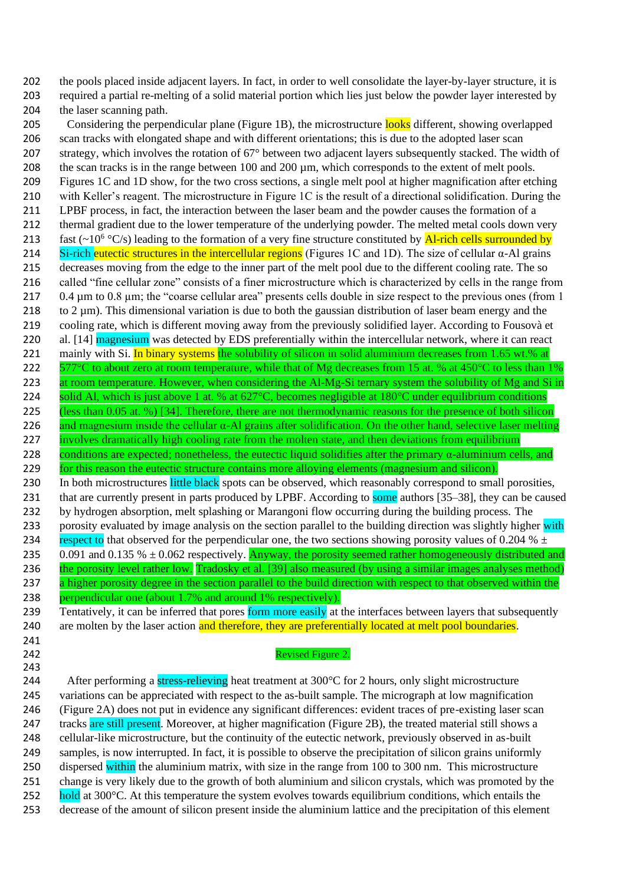202 the pools placed inside adjacent layers. In fact, in order to well consolidate the layer-by-layer structure, it is 203 required a partial re-melting of a solid material portion which lies just below the powder layer interested by 204 the laser scanning path.

205 Considering the perpendicular plane (Figure 1B), the microstructure looks different, showing overlapped 206 scan tracks with elongated shape and with different orientations; this is due to the adopted laser scan 207 strategy, which involves the rotation of 67° between two adjacent layers subsequently stacked. The width of 208 the scan tracks is in the range between 100 and 200 um, which corresponds to the extent of melt pools. 209 Figures 1C and 1D show, for the two cross sections, a single melt pool at higher magnification after etching 210 with Keller's reagent. The microstructure in Figure 1C is the result of a directional solidification. During the 211 LPBF process, in fact, the interaction between the laser beam and the powder causes the formation of a 212 thermal gradient due to the lower temperature of the underlying powder. The melted metal cools down very 213 fast  $(-10^6$  °C/s) leading to the formation of a very fine structure constituted by **Al-rich cells surrounded by** 214 Si-rich eutectic structures in the intercellular regions (Figures 1C and 1D). The size of cellular  $\alpha$ -Al grains 215 decreases moving from the edge to the inner part of the melt pool due to the different cooling rate. The so 216 called "fine cellular zone" consists of a finer microstructure which is characterized by cells in the range from 217 0.4 µm to 0.8 µm; the "coarse cellular area" presents cells double in size respect to the previous ones (from 1 218 to  $2 \mu$ m). This dimensional variation is due to both the gaussian distribution of laser beam energy and the 219 cooling rate, which is different moving away from the previously solidified layer. According to Fousovà et 220 al. [14] magnesium was detected by EDS preferentially within the intercellular network, where it can react 221 mainly with Si. In binary systems the solubility of silicon in solid aluminium decreases from 1.65 wt.% at 222  $\frac{577}{\degree}$ C to about zero at room temperature, while that of Mg decreases from 15 at. % at 450 $\degree$ C to less than 1% 223 at room temperature. However, when considering the Al-Mg-Si ternary system the solubility of Mg and Si in 224 solid Al, which is just above 1 at. % at  $627^{\circ}$ C, becomes negligible at  $180^{\circ}$ C under equilibrium conditions 225 (less than 0.05 at. %) [34]. Therefore, there are not thermodynamic reasons for the presence of both silicon 226 and magnesium inside the cellular  $\alpha$ -Al grains after solidification. On the other hand, selective laser melting 227 involves dramatically high cooling rate from the molten state, and then deviations from equilibrium 228 conditions are expected; nonetheless, the eutectic liquid solidifies after the primary  $\alpha$ -aluminium cells, and 229 for this reason the eutectic structure contains more alloying elements (magnesium and silicon). 230 In both microstructures little black spots can be observed, which reasonably correspond to small porosities, 231 that are currently present in parts produced by LPBF. According to some authors [35–38], they can be caused 232 by hydrogen absorption, melt splashing or Marangoni flow occurring during the building process. The 233 porosity evaluated by image analysis on the section parallel to the building direction was slightly higher with 234 respect to that observed for the perpendicular one, the two sections showing porosity values of 0.204 %  $\pm$ 235 0.091 and 0.135 %  $\pm$  0.062 respectively. Anyway, the porosity seemed rather homogeneously distributed and 236 the porosity level rather low. Tradosky et al. [39] also measured (by using a similar images analyses method) 237 a higher porosity degree in the section parallel to the build direction with respect to that observed within the 238 perpendicular one (about 1.7% and around 1% respectively).

239 Tentatively, it can be inferred that pores form more easily at the interfaces between layers that subsequently 240 are molten by the laser action and therefore, they are preferentially located at melt pool boundaries. 241

243

#### 242 Revised Figure 2.

244 After performing a stress-relieving heat treatment at 300°C for 2 hours, only slight microstructure 245 variations can be appreciated with respect to the as-built sample. The micrograph at low magnification 246 (Figure 2A) does not put in evidence any significant differences: evident traces of pre-existing laser scan 247 tracks are still present. Moreover, at higher magnification (Figure 2B), the treated material still shows a 248 cellular-like microstructure, but the continuity of the eutectic network, previously observed in as-built 249 samples, is now interrupted. In fact, it is possible to observe the precipitation of silicon grains uniformly 250 dispersed within the aluminium matrix, with size in the range from 100 to 300 nm. This microstructure 251 change is very likely due to the growth of both aluminium and silicon crystals, which was promoted by the 252 hold at 300 $^{\circ}$ C. At this temperature the system evolves towards equilibrium conditions, which entails the 253 decrease of the amount of silicon present inside the aluminium lattice and the precipitation of this element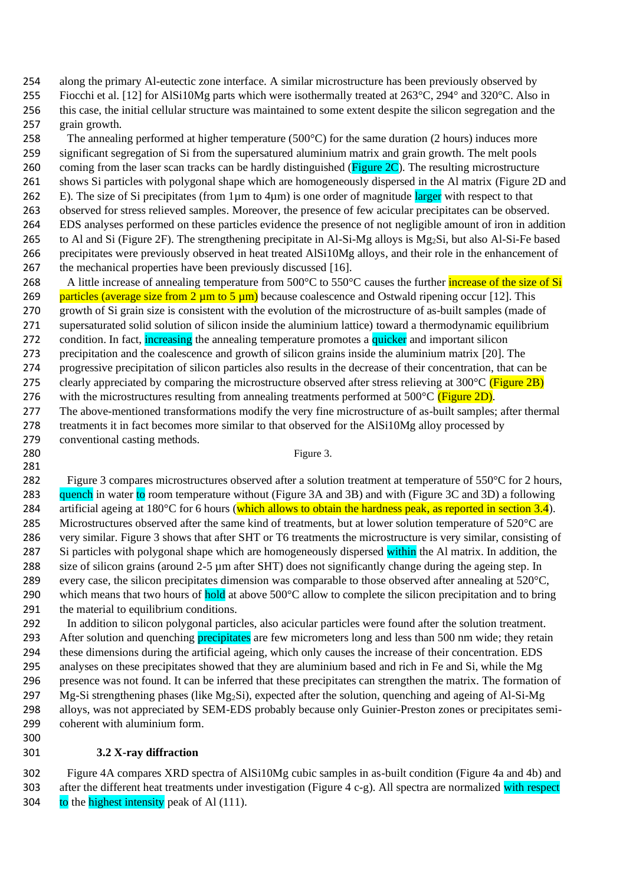254 along the primary Al-eutectic zone interface. A similar microstructure has been previously observed by

- 255 Fiocchi et al. [12] for AlSi10Mg parts which were isothermally treated at 263°C, 294° and 320°C. Also in 256 this case, the initial cellular structure was maintained to some extent despite the silicon segregation and the 257 grain growth.
- 258 The annealing performed at higher temperature (500 $^{\circ}$ C) for the same duration (2 hours) induces more 259 significant segregation of Si from the supersatured aluminium matrix and grain growth. The melt pools 260 coming from the laser scan tracks can be hardly distinguished (Figure 2C). The resulting microstructure 261 shows Si particles with polygonal shape which are homogeneously dispersed in the Al matrix (Figure 2D and 262 E). The size of Si precipitates (from  $1\mu$ m to  $4\mu$ m) is one order of magnitude larger with respect to that 263 observed for stress relieved samples. Moreover, the presence of few acicular precipitates can be observed. 264 EDS analyses performed on these particles evidence the presence of not negligible amount of iron in addition 265 to Al and Si (Figure 2F). The strengthening precipitate in Al-Si-Mg alloys is Mg2Si, but also Al-Si-Fe based 266 precipitates were previously observed in heat treated AlSi10Mg alloys, and their role in the enhancement of 267 the mechanical properties have been previously discussed [16].
- 268 A little increase of annealing temperature from 500°C to 550°C causes the further *increase* of the size of Si 269 particles (average size from 2  $\mu$ m to 5  $\mu$ m) because coalescence and Ostwald ripening occur [12]. This 270 growth of Si grain size is consistent with the evolution of the microstructure of as-built samples (made of 271 supersaturated solid solution of silicon inside the aluminium lattice) toward a thermodynamic equilibrium 272 condition. In fact, increasing the annealing temperature promotes a quicker and important silicon 273 precipitation and the coalescence and growth of silicon grains inside the aluminium matrix [20]. The 274 progressive precipitation of silicon particles also results in the decrease of their concentration, that can be 275 clearly appreciated by comparing the microstructure observed after stress relieving at  $300^{\circ}$ C (Figure 2B) 276 with the microstructures resulting from annealing treatments performed at 500°C (Figure 2D). 277 The above-mentioned transformations modify the very fine microstructure of as-built samples; after thermal 278 treatments it in fact becomes more similar to that observed for the AlSi10Mg alloy processed by
- 279 conventional casting methods.
- 281

300

#### 280 Figure 3.

- 282 Figure 3 compares microstructures observed after a solution treatment at temperature of 550°C for 2 hours, 283 quench in water to room temperature without (Figure 3A and 3B) and with (Figure 3C and 3D) a following 284 artificial ageing at 180 $\degree$ C for 6 hours (which allows to obtain the hardness peak, as reported in section 3.4). 285 Microstructures observed after the same kind of treatments, but at lower solution temperature of 520°C are 286 very similar. Figure 3 shows that after SHT or T6 treatments the microstructure is very similar, consisting of 287 Si particles with polygonal shape which are homogeneously dispersed within the Al matrix. In addition, the 288 size of silicon grains (around 2-5  $\mu$ m after SHT) does not significantly change during the ageing step. In 289 every case, the silicon precipitates dimension was comparable to those observed after annealing at  $520^{\circ}$ C, 290 which means that two hours of hold at above  $500^{\circ}$ C allow to complete the silicon precipitation and to bring 291 the material to equilibrium conditions.
- 292 In addition to silicon polygonal particles, also acicular particles were found after the solution treatment. 293 After solution and quenching precipitates are few micrometers long and less than 500 nm wide; they retain 294 these dimensions during the artificial ageing, which only causes the increase of their concentration. EDS 295 analyses on these precipitates showed that they are aluminium based and rich in Fe and Si, while the Mg 296 presence was not found. It can be inferred that these precipitates can strengthen the matrix. The formation of 297 Mg-Si strengthening phases (like Mg<sub>2</sub>Si), expected after the solution, quenching and ageing of Al-Si-Mg 298 alloys, was not appreciated by SEM-EDS probably because only Guinier-Preston zones or precipitates semi-299 coherent with aluminium form.
- 301 **3.2 X-ray diffraction**
- 302 Figure 4A compares XRD spectra of AlSi10Mg cubic samples in as-built condition (Figure 4a and 4b) and 303 after the different heat treatments under investigation (Figure 4 c-g). All spectra are normalized with respect 304 to the highest intensity peak of Al  $(111)$ .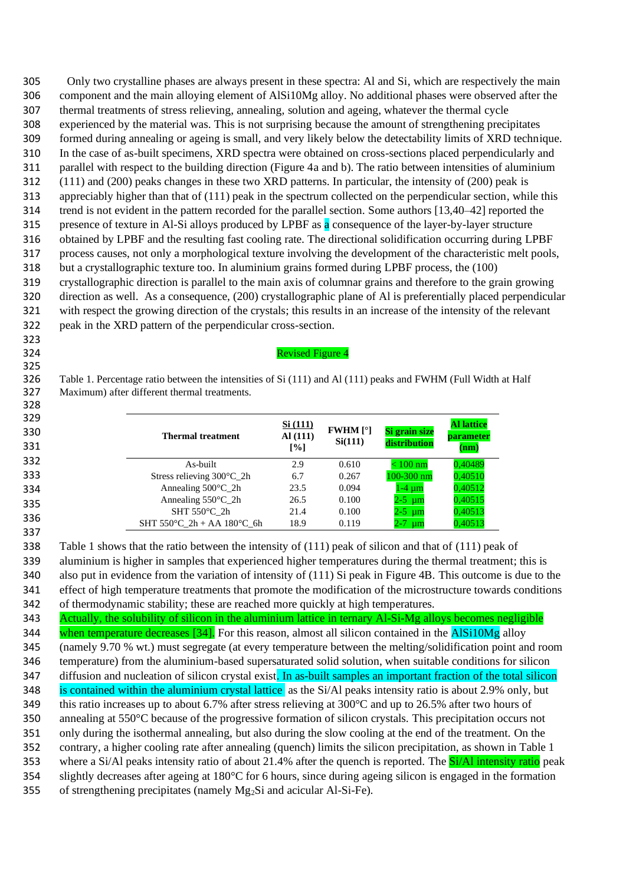Only two crystalline phases are always present in these spectra: Al and Si, which are respectively the main component and the main alloying element of AlSi10Mg alloy. No additional phases were observed after the thermal treatments of stress relieving, annealing, solution and ageing, whatever the thermal cycle experienced by the material was. This is not surprising because the amount of strengthening precipitates formed during annealing or ageing is small, and very likely below the detectability limits of XRD technique. In the case of as-built specimens, XRD spectra were obtained on cross-sections placed perpendicularly and parallel with respect to the building direction (Figure 4a and b). The ratio between intensities of aluminium (111) and (200) peaks changes in these two XRD patterns. In particular, the intensity of (200) peak is appreciably higher than that of (111) peak in the spectrum collected on the perpendicular section, while this trend is not evident in the pattern recorded for the parallel section. Some authors [13,40–42] reported the 315 presence of texture in Al-Si alloys produced by LPBF as a consequence of the layer-by-layer structure obtained by LPBF and the resulting fast cooling rate. The directional solidification occurring during LPBF process causes, not only a morphological texture involving the development of the characteristic melt pools, but a crystallographic texture too. In aluminium grains formed during LPBF process, the (100) crystallographic direction is parallel to the main axis of columnar grains and therefore to the grain growing direction as well. As a consequence, (200) crystallographic plane of Al is preferentially placed perpendicular with respect the growing direction of the crystals; this results in an increase of the intensity of the relevant peak in the XRD pattern of the perpendicular cross-section.

#### Revised Figure 4

 Table 1. Percentage ratio between the intensities of Si (111) and Al (111) peaks and FWHM (Full Width at Half Maximum) after different thermal treatments. 

| 329<br>330<br>331 | <b>Thermal treatment</b>                         | Si (111)<br>AI(111)<br>$\lceil\% \rceil$ | <b>FWHM</b> $[°]$<br>Si(111) | Si grain size<br>distribution | <b>Al lattice</b><br><b>parameter</b><br>(nm) |
|-------------------|--------------------------------------------------|------------------------------------------|------------------------------|-------------------------------|-----------------------------------------------|
| 332               | As-built                                         | 2.9                                      | 0.610                        | $< 100~\mathrm{nm}$           | 140489                                        |
| 333               | Stress relieving $300^{\circ}$ C 2h              | 6.7                                      | 0.267                        | 100-300 nm                    | ),40510                                       |
| 334               | Annealing $500^{\circ}$ C_2h                     | 23.5                                     | 0.094                        | 1-4 um                        | 0.40512                                       |
| 335               | Annealing $550^{\circ}$ C_2h                     | 26.5                                     | 0.100                        | 2-5 um                        | ),40515                                       |
| 336               | SHT $550^{\circ}$ C 2h                           | 21.4                                     | 0.100                        | 2-5 µm                        | 0.40513                                       |
|                   | SHT 550 $^{\circ}$ C 2h + AA 180 $^{\circ}$ C 6h | 18.9                                     | 0.119                        | 2-7<br>µm                     | ).40513                                       |
| 337               |                                                  |                                          |                              |                               |                                               |

 Table 1 shows that the ratio between the intensity of (111) peak of silicon and that of (111) peak of aluminium is higher in samples that experienced higher temperatures during the thermal treatment; this is also put in evidence from the variation of intensity of (111) Si peak in Figure 4B. This outcome is due to the effect of high temperature treatments that promote the modification of the microstructure towards conditions of thermodynamic stability; these are reached more quickly at high temperatures.

 Actually, the solubility of silicon in the aluminium lattice in ternary Al-Si-Mg alloys becomes negligible 344 when temperature decreases [34]. For this reason, almost all silicon contained in the **AlSi10Mg** alloy (namely 9.70 % wt.) must segregate (at every temperature between the melting/solidification point and room temperature) from the aluminium-based supersaturated solid solution, when suitable conditions for silicon 347 diffusion and nucleation of silicon crystal exist. In as-built samples an important fraction of the total silicon 348 is contained within the aluminium crystal lattice as the Si/Al peaks intensity ratio is about 2.9% only, but this ratio increases up to about 6.7% after stress relieving at 300°C and up to 26.5% after two hours of annealing at 550°C because of the progressive formation of silicon crystals. This precipitation occurs not only during the isothermal annealing, but also during the slow cooling at the end of the treatment. On the contrary, a higher cooling rate after annealing (quench) limits the silicon precipitation, as shown in Table 1 353 where a Si/Al peaks intensity ratio of about 21.4% after the quench is reported. The **Si/Al intensity ratio** peak slightly decreases after ageing at 180°C for 6 hours, since during ageing silicon is engaged in the formation 355 of strengthening precipitates (namely  $Mg_2Si$  and acicular Al-Si-Fe).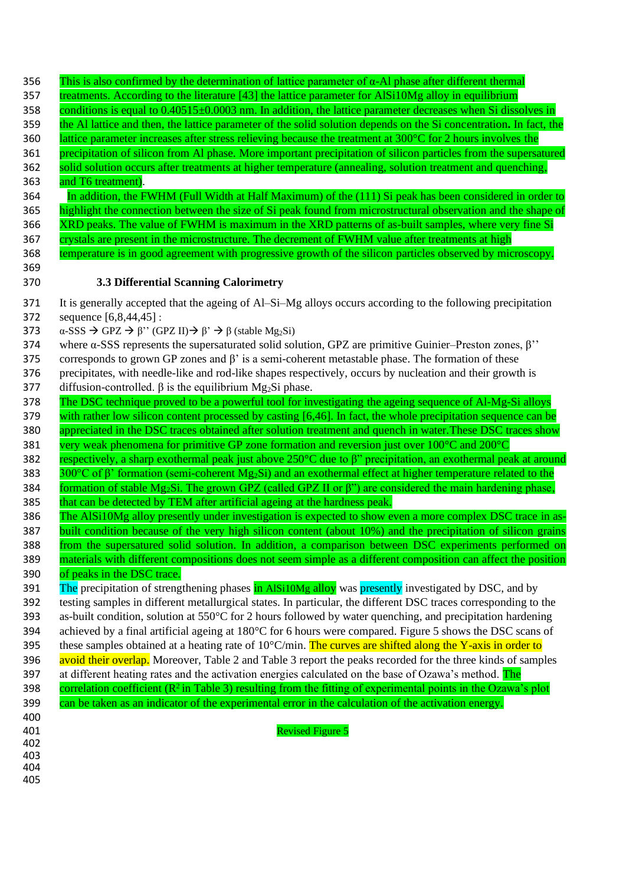| 356        | This is also confirmed by the determination of lattice parameter of $\alpha$ -Al phase after different thermal                       |
|------------|--------------------------------------------------------------------------------------------------------------------------------------|
| 357        | treatments. According to the literature [43] the lattice parameter for AlSi10Mg alloy in equilibrium                                 |
| 358        | conditions is equal to $0.40515 \pm 0.0003$ nm. In addition, the lattice parameter decreases when Si dissolves in                    |
| 359        | the Al lattice and then, the lattice parameter of the solid solution depends on the Si concentration. In fact, the                   |
| 360        | lattice parameter increases after stress relieving because the treatment at 300°C for 2 hours involves the                           |
| 361        | precipitation of silicon from Al phase. More important precipitation of silicon particles from the supersatured                      |
| 362        | solid solution occurs after treatments at higher temperature (annealing, solution treatment and quenching,                           |
| 363        | and T6 treatment).                                                                                                                   |
| 364        | In addition, the FWHM (Full Width at Half Maximum) of the (111) Si peak has been considered in order to                              |
| 365        | highlight the connection between the size of Si peak found from microstructural observation and the shape of                         |
| 366        | XRD peaks. The value of FWHM is maximum in the XRD patterns of as-built samples, where very fine Si                                  |
| 367        | crystals are present in the microstructure. The decrement of FWHM value after treatments at high                                     |
| 368        | temperature is in good agreement with progressive growth of the silicon particles observed by microscopy.                            |
| 369        |                                                                                                                                      |
| 370        | 3.3 Differential Scanning Calorimetry                                                                                                |
| 371        | It is generally accepted that the ageing of Al–Si–Mg alloys occurs according to the following precipitation                          |
| 372        | sequence [6,8,44,45] :                                                                                                               |
| 373        | $\alpha$ -SSS $\rightarrow$ GPZ $\rightarrow \beta$ " (GPZ II) $\rightarrow \beta$ " $\rightarrow \beta$ (stable Mg <sub>2</sub> Si) |
| 374        | where $\alpha$ -SSS represents the supersaturated solid solution, GPZ are primitive Guinier–Preston zones, $\beta$ "                 |
| 375        | corresponds to grown GP zones and $\beta$ ' is a semi-coherent metastable phase. The formation of these                              |
| 376        | precipitates, with needle-like and rod-like shapes respectively, occurs by nucleation and their growth is                            |
| 377        | diffusion-controlled. $\beta$ is the equilibrium Mg <sub>2</sub> Si phase.                                                           |
| 378        | The DSC technique proved to be a powerful tool for investigating the ageing sequence of Al-Mg-Si alloys                              |
| 379        | with rather low silicon content processed by casting [6,46]. In fact, the whole precipitation sequence can be                        |
| 380        | appreciated in the DSC traces obtained after solution treatment and quench in water. These DSC traces show                           |
| 381        | very weak phenomena for primitive GP zone formation and reversion just over 100°C and 200°C                                          |
| 382        | respectively, a sharp exothermal peak just above $250^{\circ}$ C due to $\beta$ " precipitation, an exothermal peak at around        |
| 383        | 300°C of $\beta$ ' formation (semi-coherent Mg <sub>2</sub> Si) and an exothermal effect at higher temperature related to the        |
| 384        | formation of stable Mg <sub>2</sub> Si. The grown GPZ (called GPZ II or $\beta$ ") are considered the main hardening phase,          |
| 385        | that can be detected by TEM after artificial ageing at the hardness peak.                                                            |
| 386        | The AlSi10Mg alloy presently under investigation is expected to show even a more complex DSC trace in as-                            |
| 387        | built condition because of the very high silicon content (about 10%) and the precipitation of silicon grains                         |
| 388        | from the supersatured solid solution. In addition, a comparison between DSC experiments performed on                                 |
| 389        | materials with different compositions does not seem simple as a different composition can affect the position                        |
| 390        | of peaks in the DSC trace.                                                                                                           |
| 391        | The precipitation of strengthening phases in AlSi10Mg alloy was presently investigated by DSC, and by                                |
| 392        | testing samples in different metallurgical states. In particular, the different DSC traces corresponding to the                      |
| 393        | as-built condition, solution at 550°C for 2 hours followed by water quenching, and precipitation hardening                           |
| 394        | achieved by a final artificial ageing at 180°C for 6 hours were compared. Figure 5 shows the DSC scans of                            |
| 395        | these samples obtained at a heating rate of 10°C/min. The curves are shifted along the Y-axis in order to                            |
| 396        | avoid their overlap. Moreover, Table 2 and Table 3 report the peaks recorded for the three kinds of samples                          |
| 397        | at different heating rates and the activation energies calculated on the base of Ozawa's method. The                                 |
| 398        | correlation coefficient ( $\mathbb{R}^2$ in Table 3) resulting from the fitting of experimental points in the Ozawa's plot           |
| 399        | can be taken as an indicator of the experimental error in the calculation of the activation energy.                                  |
| 400<br>401 | <b>Revised Figure 5</b>                                                                                                              |
| 402        |                                                                                                                                      |
| 403        |                                                                                                                                      |
| 404        |                                                                                                                                      |
| 405        |                                                                                                                                      |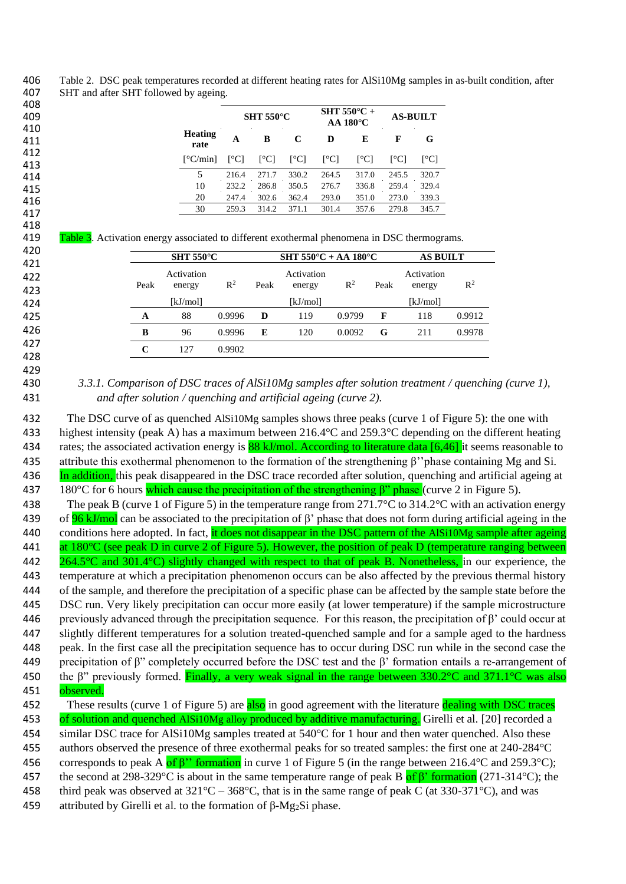Table 2. DSC peak temperatures recorded at different heating rates for AlSi10Mg samples in as-built condition, after SHT and after SHT followed by ageing. 

|                                                                                                                                                                                                                                                                                                                                                                                                                                                                                                                                                                                                                                                                                                                                                                                                                                                                                                                                                                                                                                                                                                                                                                                                                                        |                                                                  |                                    | <b>SHT 550°C</b> |                                                                        | AA 180°C                           | SHT 550°C +    | <b>AS-BUILT</b> |                                                                   |                                    |
|----------------------------------------------------------------------------------------------------------------------------------------------------------------------------------------------------------------------------------------------------------------------------------------------------------------------------------------------------------------------------------------------------------------------------------------------------------------------------------------------------------------------------------------------------------------------------------------------------------------------------------------------------------------------------------------------------------------------------------------------------------------------------------------------------------------------------------------------------------------------------------------------------------------------------------------------------------------------------------------------------------------------------------------------------------------------------------------------------------------------------------------------------------------------------------------------------------------------------------------|------------------------------------------------------------------|------------------------------------|------------------|------------------------------------------------------------------------|------------------------------------|----------------|-----------------|-------------------------------------------------------------------|------------------------------------|
|                                                                                                                                                                                                                                                                                                                                                                                                                                                                                                                                                                                                                                                                                                                                                                                                                                                                                                                                                                                                                                                                                                                                                                                                                                        | <b>Heating</b><br>rate                                           | A                                  | B                | $\bf C$                                                                | D                                  | E              | $\mathbf{F}$    | G                                                                 |                                    |
|                                                                                                                                                                                                                                                                                                                                                                                                                                                                                                                                                                                                                                                                                                                                                                                                                                                                                                                                                                                                                                                                                                                                                                                                                                        | [°C/min]                                                         | $[^{\circ}C]$                      | [°C]             | [°C]                                                                   | [°C]                               | [°C]           | [°C]            | [°C]                                                              |                                    |
|                                                                                                                                                                                                                                                                                                                                                                                                                                                                                                                                                                                                                                                                                                                                                                                                                                                                                                                                                                                                                                                                                                                                                                                                                                        | 5                                                                | 216.4                              | 271.7            | 330.2                                                                  | 264.5                              | 317.0          | 245.5           | 320.7                                                             |                                    |
|                                                                                                                                                                                                                                                                                                                                                                                                                                                                                                                                                                                                                                                                                                                                                                                                                                                                                                                                                                                                                                                                                                                                                                                                                                        | 10<br>20                                                         | 232.2<br>247.4                     | 286.8<br>302.6   | 350.5<br>362.4                                                         | 276.7<br>293.0                     | 336.8<br>351.0 | 259.4<br>273.0  | 329.4<br>339.3                                                    |                                    |
|                                                                                                                                                                                                                                                                                                                                                                                                                                                                                                                                                                                                                                                                                                                                                                                                                                                                                                                                                                                                                                                                                                                                                                                                                                        | 30                                                               | 259.3                              | 314.2            | 371.1                                                                  | 301.4                              | 357.6          | 279.8           | 345.7                                                             |                                    |
| Table 3. Activation energy associated to different exothermal phenomena in DSC thermograms.<br>Peak<br>A<br>B                                                                                                                                                                                                                                                                                                                                                                                                                                                                                                                                                                                                                                                                                                                                                                                                                                                                                                                                                                                                                                                                                                                          | <b>SHT 550°C</b><br>Activation<br>energy<br>[kJ/mol]<br>88<br>96 | $\mathbb{R}^2$<br>0.9996<br>0.9996 | Peak<br>D<br>E   | SHT 550°C + AA 180°C<br>Activation<br>energy<br>[kJ/mol]<br>119<br>120 | $\mathbb{R}^2$<br>0.9799<br>0.0092 |                | Peak<br>F<br>G  | <b>AS BUILT</b><br>Activation<br>energy<br>[kJ/mol]<br>118<br>211 | $\mathbb{R}^2$<br>0.9912<br>0.9978 |
| $\mathbf C$                                                                                                                                                                                                                                                                                                                                                                                                                                                                                                                                                                                                                                                                                                                                                                                                                                                                                                                                                                                                                                                                                                                                                                                                                            | 127                                                              | 0.9902                             |                  |                                                                        |                                    |                |                 |                                                                   |                                    |
|                                                                                                                                                                                                                                                                                                                                                                                                                                                                                                                                                                                                                                                                                                                                                                                                                                                                                                                                                                                                                                                                                                                                                                                                                                        |                                                                  |                                    |                  |                                                                        |                                    |                |                 |                                                                   |                                    |
|                                                                                                                                                                                                                                                                                                                                                                                                                                                                                                                                                                                                                                                                                                                                                                                                                                                                                                                                                                                                                                                                                                                                                                                                                                        |                                                                  |                                    |                  |                                                                        |                                    |                |                 |                                                                   |                                    |
| The DSC curve of as quenched AlSi10Mg samples shows three peaks (curve 1 of Figure 5): the one with<br>highest intensity (peak A) has a maximum between $216.4^{\circ}$ C and $259.3^{\circ}$ C depending on the different heating<br>rates; the associated activation energy is $88 \text{ kJ/mol}$ . According to literature data [6,46] it seems reasonable to<br>attribute this exothermal phenomenon to the formation of the strengthening $\beta$ " phase containing Mg and Si.<br>In addition, this peak disappeared in the DSC trace recorded after solution, quenching and artificial ageing at<br>180 $\degree$ C for 6 hours which cause the precipitation of the strengthening $\beta$ " phase (curve 2 in Figure 5).<br>The peak B (curve 1 of Figure 5) in the temperature range from $271.7^{\circ}$ C to $314.2^{\circ}$ C with an activation energy<br>of <b>96 kJ/mol</b> can be associated to the precipitation of $\beta$ phase that does not form during artificial ageing in the<br>conditions here adopted. In fact, it does not disappear in the DSC pattern of the AISi10Mg sample after ageing<br>at 180°C (see peak D in curve 2 of Figure 5). However, the position of peak D (temperature ranging between |                                                                  |                                    |                  |                                                                        |                                    |                |                 |                                                                   |                                    |
| $264.5^{\circ}$ C and 301.4 $^{\circ}$ C) slightly changed with respect to that of peak B. Nonetheless, in our experience, the<br>temperature at which a precipitation phenomenon occurs can be also affected by the previous thermal history<br>of the sample, and therefore the precipitation of a specific phase can be affected by the sample state before the<br>DSC run. Very likely precipitation can occur more easily (at lower temperature) if the sample microstructure<br>previously advanced through the precipitation sequence. For this reason, the precipitation of $\beta$ ' could occur at<br>slightly different temperatures for a solution treated-quenched sample and for a sample aged to the hardness<br>peak. In the first case all the precipitation sequence has to occur during DSC run while in the second case the<br>precipitation of $\beta$ " completely occurred before the DSC test and the $\beta$ ' formation entails a re-arrangement of<br>the $\beta$ " previously formed. Finally, a very weak signal in the range between 330.2°C and 371.1°C was also                                                                                                                                        |                                                                  |                                    |                  |                                                                        |                                    |                |                 |                                                                   |                                    |
|                                                                                                                                                                                                                                                                                                                                                                                                                                                                                                                                                                                                                                                                                                                                                                                                                                                                                                                                                                                                                                                                                                                                                                                                                                        |                                                                  |                                    |                  |                                                                        |                                    |                |                 |                                                                   |                                    |
| observed.<br>These results (curve 1 of Figure 5) are also in good agreement with the literature dealing with DSC traces<br>of solution and quenched AISi10Mg alloy produced by additive manufacturing. Girelli et al. [20] recorded a                                                                                                                                                                                                                                                                                                                                                                                                                                                                                                                                                                                                                                                                                                                                                                                                                                                                                                                                                                                                  |                                                                  |                                    |                  |                                                                        |                                    |                |                 |                                                                   |                                    |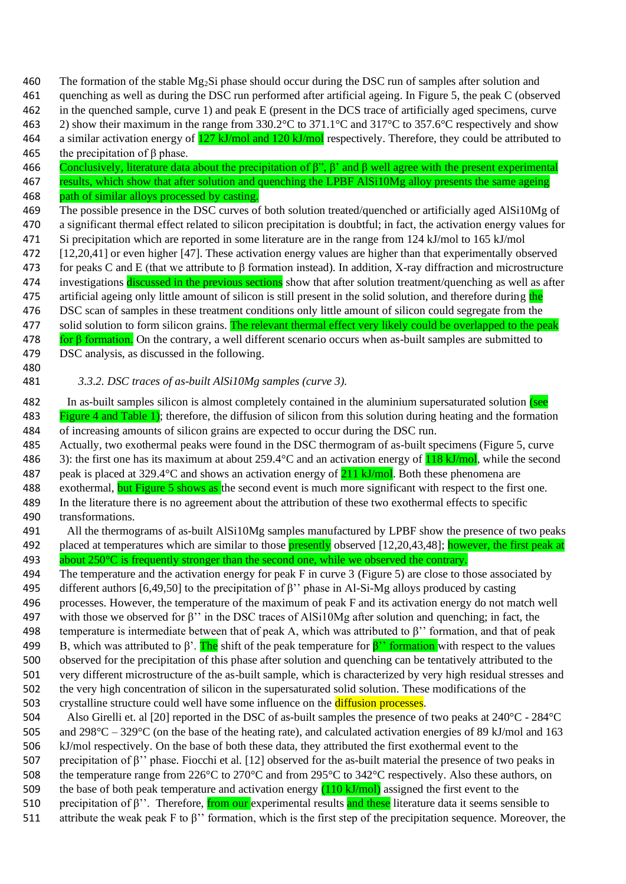460 The formation of the stable  $Mg_2S$  phase should occur during the DSC run of samples after solution and

461 quenching as well as during the DSC run performed after artificial ageing. In Figure 5, the peak C (observed

462 in the quenched sample, curve 1) and peak E (present in the DCS trace of artificially aged specimens, curve

463 2) show their maximum in the range from 330.2°C to 371.1°C and 317°C to 357.6°C respectively and show

464 a similar activation energy of  $\frac{127 \text{ kJ/mol}}{20 \text{ kJ/mol}}$  respectively. Therefore, they could be attributed to

- 465 the precipitation of  $\beta$  phase. 466 Conclusively, literature data about the precipitation of  $\beta$ ",  $\beta$ ' and  $\beta$  well agree with the present experimental
- 467 results, which show that after solution and quenching the LPBF AlSi10Mg alloy presents the same ageing
- 468 path of similar alloys processed by casting.
- 469 The possible presence in the DSC curves of both solution treated/quenched or artificially aged AlSi10Mg of
- 470 a significant thermal effect related to silicon precipitation is doubtful; in fact, the activation energy values for 471 Si precipitation which are reported in some literature are in the range from 124 kJ/mol to 165 kJ/mol

472 [12,20,41] or even higher [47]. These activation energy values are higher than that experimentally observed

- 473 for peaks C and E (that we attribute to β formation instead). In addition, X-ray diffraction and microstructure
- 474 investigations discussed in the previous sections show that after solution treatment/quenching as well as after
- 475 artificial ageing only little amount of silicon is still present in the solid solution, and therefore during the
- 476 DSC scan of samples in these treatment conditions only little amount of silicon could segregate from the
- 477 solid solution to form silicon grains. The relevant thermal effect very likely could be overlapped to the peak
- 478 for β formation. On the contrary, a well different scenario occurs when as-built samples are submitted to
- 479 DSC analysis, as discussed in the following.

# 480

- 481 *3.3.2. DSC traces of as-built AlSi10Mg samples (curve 3).*
- 482 In as-built samples silicon is almost completely contained in the aluminium supersaturated solution (see 483 Figure 4 and Table 1); therefore, the diffusion of silicon from this solution during heating and the formation 484 of increasing amounts of silicon grains are expected to occur during the DSC run.
- 485 Actually, two exothermal peaks were found in the DSC thermogram of as-built specimens (Figure 5, curve 486 3): the first one has its maximum at about 259.4 °C and an activation energy of  $118 \text{ kJ/mol}$ , while the second
- 487 peak is placed at 329.4°C and shows an activation energy of  $\frac{211 \text{ kJ/mol}}{211 \text{ kJ/mol}}$ . Both these phenomena are
- 488 exothermal, but Figure 5 shows as the second event is much more significant with respect to the first one.
- 489 In the literature there is no agreement about the attribution of these two exothermal effects to specific
- 490 transformations.
- 491 All the thermograms of as-built AlSi10Mg samples manufactured by LPBF show the presence of two peaks 492 placed at temperatures which are similar to those **presently** observed [12,20,43,48]; **however**, the first peak at 493 about  $250^{\circ}$ C is frequently stronger than the second one, while we observed the contrary.
- 494 The temperature and the activation energy for peak F in curve 3 (Figure 5) are close to those associated by
- 495 different authors [6,49,50] to the precipitation of  $\beta$ " phase in Al-Si-Mg alloys produced by casting 496 processes. However, the temperature of the maximum of peak F and its activation energy do not match well
- 497 with those we observed for β'' in the DSC traces of AlSi10Mg after solution and quenching; in fact, the 498 temperature is intermediate between that of peak A, which was attributed to  $\beta$ " formation, and that of peak 499 B, which was attributed to β'. The shift of the peak temperature for  $\beta$ " formation with respect to the values 500 observed for the precipitation of this phase after solution and quenching can be tentatively attributed to the 501 very different microstructure of the as-built sample, which is characterized by very high residual stresses and
- 502 the very high concentration of silicon in the supersaturated solid solution. These modifications of the 503 crystalline structure could well have some influence on the diffusion processes.
- 504 Also Girelli et. al [20] reported in the DSC of as-built samples the presence of two peaks at 240°C 284°C 505 and 298°C – 329°C (on the base of the heating rate), and calculated activation energies of 89 kJ/mol and 163 506 kJ/mol respectively. On the base of both these data, they attributed the first exothermal event to the 507 precipitation of β'' phase. Fiocchi et al. [12] observed for the as-built material the presence of two peaks in 508 the temperature range from 226°C to 270°C and from 295°C to 342°C respectively. Also these authors, on 509 the base of both peak temperature and activation energy  $(110 \text{ kJ/mol})$  assigned the first event to the 510 precipitation of β''. Therefore, from our experimental results and these literature data it seems sensible to
- 511 attribute the weak peak F to β'' formation, which is the first step of the precipitation sequence. Moreover, the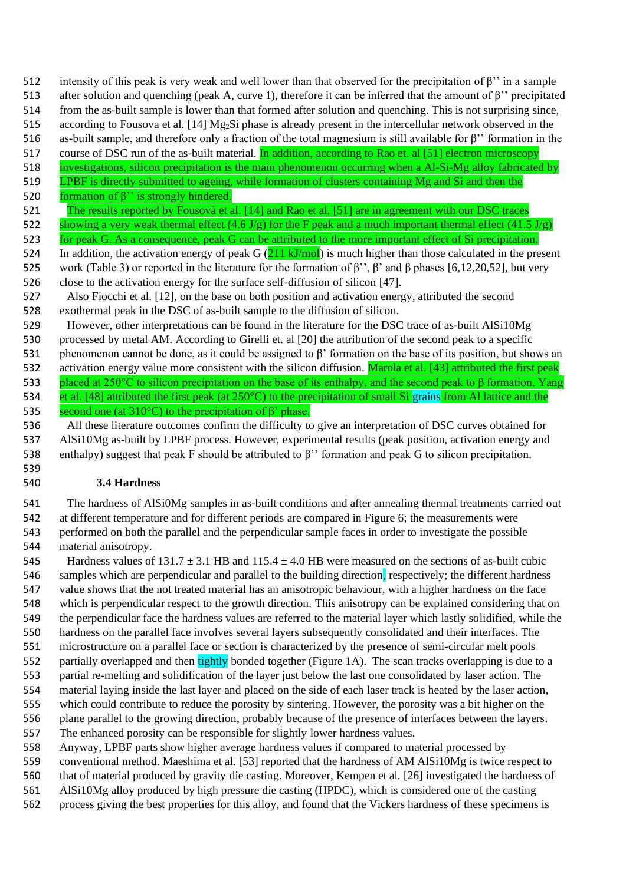512 intensity of this peak is very weak and well lower than that observed for the precipitation of  $\beta$ " in a sample

- after solution and quenching (peak A, curve 1), therefore it can be inferred that the amount of β'' precipitated from the as-built sample is lower than that formed after solution and quenching. This is not surprising since,
- 515 according to Fousova et al.  $[14] Mg<sub>2</sub>Si phase is already present in the intercellular network observed in the$
- as-built sample, and therefore only a fraction of the total magnesium is still available for β'' formation in the
- 517 course of DSC run of the as-built material. **In addition, according to Rao et. al [51] electron microscopy**
- investigations, silicon precipitation is the main phenomenon occurring when a Al-Si-Mg alloy fabricated by
- LPBF is directly submitted to ageing, while formation of clusters containing Mg and Si and then the
- 520 formation of  $β$ " is strongly hindered.
- 521 The results reported by Fousovà et al. [14] and Rao et al. [51] are in agreement with our DSC traces 522 showing a very weak thermal effect (4.6 J/g) for the F peak and a much important thermal effect (41.5 J/g)
- for peak G. As a consequence, peak G can be attributed to the more important effect of Si precipitation.
- 524 In addition, the activation energy of peak G  $(211 \text{ kJ/mol})$  is much higher than those calculated in the present work (Table 3) or reported in the literature for the formation of β'', β' and β phases [6,12,20,52], but very close to the activation energy for the surface self-diffusion of silicon [47].
- Also Fiocchi et al. [12], on the base on both position and activation energy, attributed the second exothermal peak in the DSC of as-built sample to the diffusion of silicon.
- However, other interpretations can be found in the literature for the DSC trace of as-built AlSi10Mg processed by metal AM. According to Girelli et. al [20] the attribution of the second peak to a specific
- phenomenon cannot be done, as it could be assigned to β' formation on the base of its position, but shows an
- 532 activation energy value more consistent with the silicon diffusion. Marola et al. [43] attributed the first peak placed at 250°C to silicon precipitation on the base of its enthalpy, and the second peak to β formation. Yang 534 et al. [48] attributed the first peak (at  $250^{\circ}$ C) to the precipitation of small Si grains from Al lattice and the 535 second one (at  $310^{\circ}$ C) to the precipitation of  $\beta$ ' phase.
- All these literature outcomes confirm the difficulty to give an interpretation of DSC curves obtained for AlSi10Mg as-built by LPBF process. However, experimental results (peak position, activation energy and enthalpy) suggest that peak F should be attributed to β'' formation and peak G to silicon precipitation.
- 

# **3.4 Hardness**

 The hardness of AlSi0Mg samples in as-built conditions and after annealing thermal treatments carried out at different temperature and for different periods are compared in Figure 6; the measurements were performed on both the parallel and the perpendicular sample faces in order to investigate the possible material anisotropy.

545 Hardness values of 131.7  $\pm$  3.1 HB and 115.4  $\pm$  4.0 HB were measured on the sections of as-built cubic 546 samples which are perpendicular and parallel to the building direction, respectively; the different hardness value shows that the not treated material has an anisotropic behaviour, with a higher hardness on the face which is perpendicular respect to the growth direction. This anisotropy can be explained considering that on the perpendicular face the hardness values are referred to the material layer which lastly solidified, while the hardness on the parallel face involves several layers subsequently consolidated and their interfaces. The microstructure on a parallel face or section is characterized by the presence of semi-circular melt pools 552 partially overlapped and then tightly bonded together (Figure 1A). The scan tracks overlapping is due to a partial re-melting and solidification of the layer just below the last one consolidated by laser action. The material laying inside the last layer and placed on the side of each laser track is heated by the laser action, which could contribute to reduce the porosity by sintering. However, the porosity was a bit higher on the plane parallel to the growing direction, probably because of the presence of interfaces between the layers. The enhanced porosity can be responsible for slightly lower hardness values.

Anyway, LPBF parts show higher average hardness values if compared to material processed by

- conventional method. Maeshima et al. [53] reported that the hardness of AM AlSi10Mg is twice respect to
- that of material produced by gravity [die casting.](https://www.sciencedirect.com/topics/engineering/die-casting) Moreover, Kempen et al. [26] investigated the hardness of
- AlSi10Mg alloy produced by high pressure die casting (HPDC), which is considered one of the casting
- process giving the best properties for this alloy, and found that the Vickers hardness of these specimens is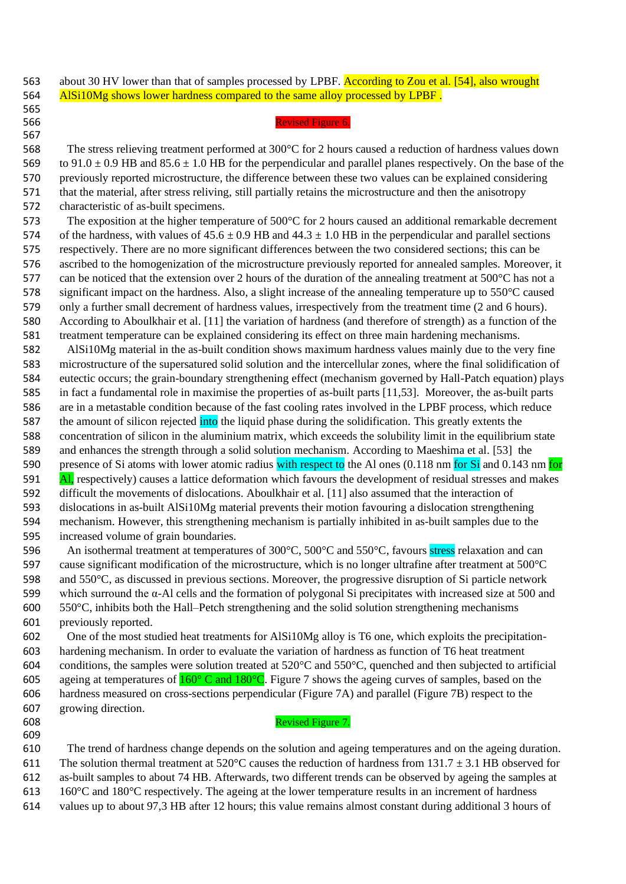563 about 30 HV lower than that of samples processed by LPBF. According to Zou et al. [54], also wrought 564 AlSi10Mg shows lower hardness compared to the same alloy processed by LPBF.

#### Revised Figure 6.

 The stress relieving treatment performed at 300°C for 2 hours caused a reduction of hardness values down 569 to  $91.0 \pm 0.9$  HB and  $85.6 \pm 1.0$  HB for the perpendicular and parallel planes respectively. On the base of the previously reported microstructure, the difference between these two values can be explained considering that the material, after stress reliving, still partially retains the microstructure and then the anisotropy characteristic of as-built specimens.

 The exposition at the higher temperature of 500°C for 2 hours caused an additional remarkable decrement 574 of the hardness, with values of  $45.6 \pm 0.9$  HB and  $44.3 \pm 1.0$  HB in the perpendicular and parallel sections respectively. There are no more significant differences between the two considered sections; this can be ascribed to the homogenization of the microstructure previously reported for annealed samples. Moreover, it 577 can be noticed that the extension over 2 hours of the duration of the annealing treatment at  $500^{\circ}$ C has not a significant impact on the hardness. Also, a slight increase of the annealing temperature up to 550°C caused only a further small decrement of hardness values, irrespectively from the treatment time (2 and 6 hours). According to Aboulkhair et al. [11] the variation of hardness (and therefore of strength) as a function of the treatment temperature can be explained considering its effect on three main hardening mechanisms.

 AlSi10Mg material in the as-built condition shows maximum hardness values mainly due to the very fine microstructure of the supersatured solid solution and the intercellular zones, where the final solidification of eutectic occurs; the grain-boundary strengthening effect (mechanism governed by Hall-Patch equation) plays in fact a fundamental role in maximise the properties of as-built parts [11,53]. Moreover, the as-built parts are in a metastable condition because of the fast cooling rates involved in the LPBF process, which reduce 587 the amount of silicon rejected into the liquid phase during the solidification. This greatly extents the concentration of silicon in the aluminium matrix, which exceeds the solubility limit in the equilibrium state and enhances the strength through a solid solution mechanism. According to Maeshima et al. [53] the 590 presence of Si atoms with lower atomic radius with respect to the Al ones (0.118 nm for Si and 0.143 nm for 591 Al, respectively) causes a lattice deformation which favours the development of residual stresses and makes difficult the movements of dislocations. Aboulkhair et al. [11] also assumed that the interaction of dislocations in as-built AlSi10Mg material prevents their motion favouring a dislocation strengthening mechanism. However, this strengthening mechanism is partially inhibited in as-built samples due to the increased volume of grain boundaries.

596 An isothermal treatment at temperatures of 300°C, 500°C and 550°C, favours stress relaxation and can cause significant modification of the microstructure, which is no longer ultrafine after treatment at 500°C and 550°C, as discussed in previous sections. Moreover, the progressive disruption of Si particle network 599 which surround the  $\alpha$ -Al cells and the formation of polygonal Si precipitates with increased size at 500 and 550°C, inhibits both the Hall–Petch strengthening and the solid solution strengthening mechanisms previously reported.

 One of the most studied heat treatments for AlSi10Mg alloy is T6 one, which exploits the precipitation- hardening mechanism. In order to evaluate the variation of hardness as function of T6 heat treatment 604 conditions, the samples were solution treated at  $520^{\circ}$ C and  $550^{\circ}$ C, quenched and then subjected to artificial 605 ageing at temperatures of  $160^{\circ}$  C and  $180^{\circ}$ C. Figure 7 shows the ageing curves of samples, based on the hardness measured on cross-sections perpendicular (Figure 7A) and parallel (Figure 7B) respect to the growing direction.

## Revised Figure 7.

 The trend of hardness change depends on the solution and ageing temperatures and on the ageing duration. 611 The solution thermal treatment at 520 $^{\circ}$ C causes the reduction of hardness from 131.7  $\pm$  3.1 HB observed for as-built samples to about 74 HB. Afterwards, two different trends can be observed by ageing the samples at 160°C and 180°C respectively. The ageing at the lower temperature results in an increment of hardness

values up to about 97,3 HB after 12 hours; this value remains almost constant during additional 3 hours of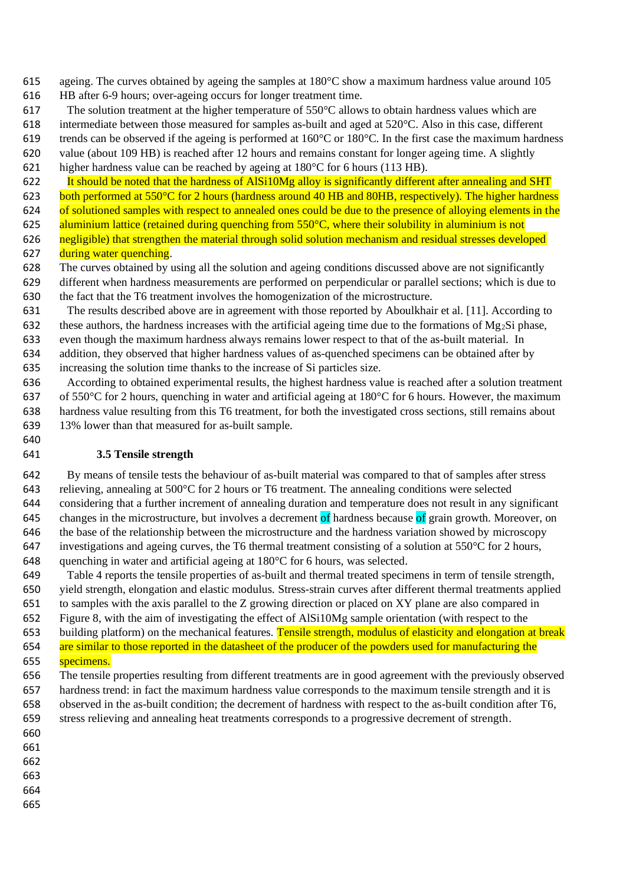ageing. The curves obtained by ageing the samples at 180°C show a maximum hardness value around 105

- HB after 6-9 hours; over-ageing occurs for longer treatment time.
- The solution treatment at the higher temperature of 550°C allows to obtain hardness values which are
- intermediate between those measured for samples as-built and aged at 520°C. Also in this case, different
- 619 trends can be observed if the ageing is performed at  $160^{\circ}$ C or  $180^{\circ}$ C. In the first case the maximum hardness
- value (about 109 HB) is reached after 12 hours and remains constant for longer ageing time. A slightly
- higher hardness value can be reached by ageing at 180°C for 6 hours (113 HB).
- It should be noted that the hardness of AlSi10Mg alloy is significantly different after annealing and SHT
- 623 both performed at 550°C for 2 hours (hardness around 40 HB and 80HB, respectively). The higher hardness
- 624 of solutioned samples with respect to annealed ones could be due to the presence of alloying elements in the
- 625 aluminium lattice (retained during quenching from  $550^{\circ}$ C, where their solubility in aluminium is not
- 626 negligible) that strengthen the material through solid solution mechanism and residual stresses developed 627 during water quenching.
- The curves obtained by using all the solution and ageing conditions discussed above are not significantly different when hardness measurements are performed on perpendicular or parallel sections; which is due to the fact that the T6 treatment involves the homogenization of the microstructure.
- The results described above are in agreement with those reported by Aboulkhair et al. [11]. According to 632 these authors, the hardness increases with the artificial ageing time due to the formations of  $Mg_2Si$  phase, even though the maximum hardness always remains lower respect to that of the as-built material. In addition, they observed that higher hardness values of as-quenched specimens can be obtained after by increasing the solution time thanks to the increase of Si particles size.
- According to obtained experimental results, the highest hardness value is reached after a solution treatment 637 of 550°C for 2 hours, quenching in water and artificial ageing at  $180^{\circ}$ C for 6 hours. However, the maximum hardness value resulting from this T6 treatment, for both the investigated cross sections, still remains about 13% lower than that measured for as-built sample.

# **3.5 Tensile strength**

- By means of tensile tests the behaviour of as-built material was compared to that of samples after stress 643 relieving, annealing at  $500^{\circ}$ C for 2 hours or T6 treatment. The annealing conditions were selected considering that a further increment of annealing duration and temperature does not result in any significant 645 changes in the microstructure, but involves a decrement of hardness because of grain growth. Moreover, on the base of the relationship between the microstructure and the hardness variation showed by microscopy 647 investigations and ageing curves, the T6 thermal treatment consisting of a solution at  $550^{\circ}$ C for 2 hours, quenching in water and artificial ageing at 180°C for 6 hours, was selected.
- Table 4 reports the tensile properties of as-built and thermal treated specimens in term of tensile strength, yield strength, elongation and elastic modulus. Stress-strain curves after different thermal treatments applied to samples with the axis parallel to the Z growing direction or placed on XY plane are also compared in
- Figure 8, with the aim of investigating the effect of AlSi10Mg sample orientation (with respect to the
- 653 building platform) on the mechanical features. Tensile strength, modulus of elasticity and elongation at break 654 are similar to those reported in the datasheet of the producer of the powders used for manufacturing the
- 655 specimens.
- The tensile properties resulting from different treatments are in good agreement with the previously observed hardness trend: in fact the maximum hardness value corresponds to the maximum tensile strength and it is observed in the as-built condition; the decrement of hardness with respect to the as-built condition after T6, stress relieving and annealing heat treatments corresponds to a progressive decrement of strength.
- 

- 
- 
- 
- 
-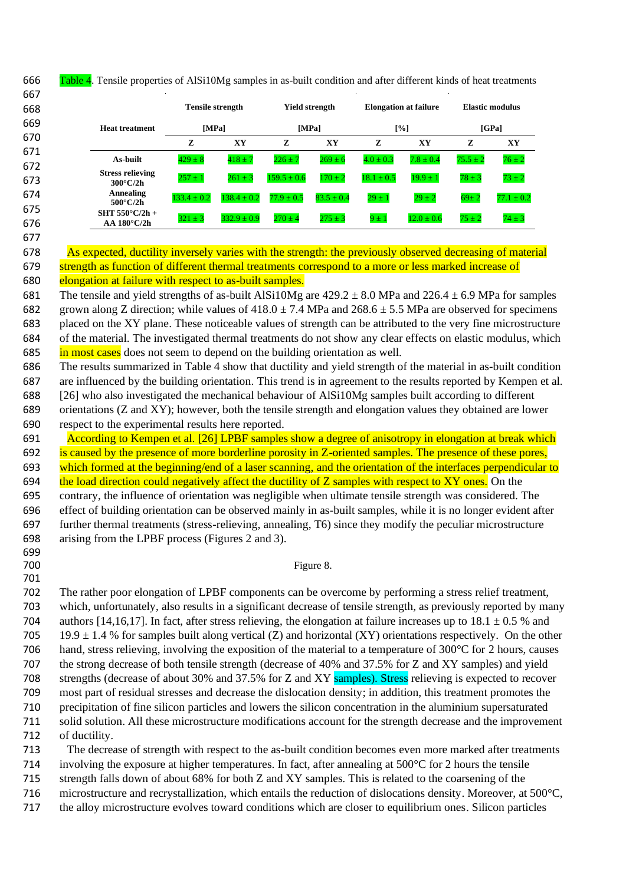666 Table 4. Tensile properties of AlSi10Mg samples in as-built condition and after different kinds of heat treatments

| 667 |                                                |                 |                         |                 |                       |                |                              |              |                 |
|-----|------------------------------------------------|-----------------|-------------------------|-----------------|-----------------------|----------------|------------------------------|--------------|-----------------|
| 668 |                                                |                 | <b>Tensile strength</b> |                 | <b>Yield strength</b> |                | <b>Elongation at failure</b> |              | Elastic modulus |
| 669 | <b>Heat treatment</b>                          | [MPa]           |                         |                 | [MPa]                 | [%]            |                              | [GPa]        |                 |
| 670 |                                                | z               | XY                      | z               | XY                    | z              | XY                           | z            | XY              |
| 671 | As-built                                       | $429 \pm 8$     | $418 \pm 7$             | $226 \pm 7$     | $269 \pm 6$           | $4.0 \pm 0.3$  | $7.8 \pm 0.4$                | $75.5 \pm 2$ | $76 \pm 2$      |
| 672 | <b>Stress relieving</b>                        |                 |                         |                 |                       |                |                              |              |                 |
| 673 | $300^{\circ}$ C/2h                             | $257 \pm 1$     | $261 \pm 3$             | $159.5 \pm 0.6$ | $170 \pm 2$           | $18.1 \pm 0.5$ | $19.9 \pm 1$                 | $78 \pm 3$   | $73 \pm 2$      |
| 674 | <b>Annealing</b>                               | $133.4 \pm 0.2$ | $138.4 \pm 0.2$         | $77.9 \pm 0.5$  | $83.5 \pm 0.4$        | $29 \pm 1$     | $29 \pm 2$                   | $69 \pm 2$   | $77.1 \pm 0.2$  |
| 675 | $500^{\circ}$ C/2h<br>SHT 550 $\degree$ C/2h + |                 |                         |                 |                       |                |                              |              |                 |
| 676 | $AA$ 180 $^{\circ}$ C/2h                       | $321 \pm 3$     | $332.9 \pm 0.9$         | $270 \pm 4$     | $275 \pm 3$           | $9 \pm 1$      | $12.0 \pm 0.6$               | $75 \pm 2$   | $74 \pm 3$      |

 As expected, ductility inversely varies with the strength: the previously observed decreasing of material 679 strength as function of different thermal treatments correspond to a more or less marked increase of

680 elongation at failure with respect to as-built samples.

681 The tensile and yield strengths of as-built AlSi10Mg are  $429.2 \pm 8.0$  MPa and  $226.4 \pm 6.9$  MPa for samples 682 grown along Z direction; while values of  $418.0 \pm 7.4$  MPa and  $268.6 \pm 5.5$  MPa are observed for specimens placed on the XY plane. These noticeable values of strength can be attributed to the very fine microstructure of the material. The investigated thermal treatments do not show any clear effects on elastic modulus, which 685 in most cases does not seem to depend on the building orientation as well.

 The results summarized in Table 4 show that ductility and yield strength of the material in as-built condition are influenced by the building orientation. This trend is in agreement to the results reported by Kempen et al. [26] who also investigated the mechanical behaviour of AlSi10Mg samples built according to different

 orientations (Z and XY); however, both the tensile strength and elongation values they obtained are lower respect to the experimental results here reported.

691 According to Kempen et al. [26] LPBF samples show a degree of anisotropy in elongation at break which 692 is caused by the presence of more borderline porosity in Z-oriented samples. The presence of these pores, 693 which formed at the beginning/end of a laser scanning, and the orientation of the interfaces perpendicular to

694 the load direction could negatively affect the ductility of  $Z$  samples with respect to  $XY$  ones. On the

 contrary, the influence of orientation was negligible when ultimate tensile strength was considered. The effect of building orientation can be observed mainly in as-built samples, while it is no longer evident after further thermal treatments (stress-relieving, annealing, T6) since they modify the peculiar microstructure arising from the LPBF process (Figures 2 and 3).

# 700 Figure 8.

 The rather poor elongation of LPBF components can be overcome by performing a stress relief treatment, which, unfortunately, also results in a significant decrease of tensile strength, as previously reported by many 704 authors [14,16,17]. In fact, after stress relieving, the elongation at failure increases up to 18.1  $\pm$  0.5 % and 705 19.9  $\pm$  1.4 % for samples built along vertical (Z) and horizontal (XY) orientations respectively. On the other hand, stress relieving, involving the exposition of the material to a temperature of 300°C for 2 hours, causes the strong decrease of both tensile strength (decrease of 40% and 37.5% for Z and XY samples) and yield 708 strengths (decrease of about 30% and 37.5% for Z and XY samples). Stress relieving is expected to recover most part of residual stresses and decrease the dislocation density; in addition, this treatment promotes the precipitation of fine silicon particles and lowers the silicon concentration in the aluminium supersaturated solid solution. All these microstructure modifications account for the strength decrease and the improvement of ductility.

The decrease of strength with respect to the as-built condition becomes even more marked after treatments

involving the exposure at higher temperatures. In fact, after annealing at 500°C for 2 hours the tensile

strength falls down of about 68% for both Z and XY samples. This is related to the coarsening of the

microstructure and recrystallization, which entails the reduction of dislocations density. Moreover, at 500°C,

the alloy microstructure evolves toward conditions which are closer to equilibrium ones. Silicon particles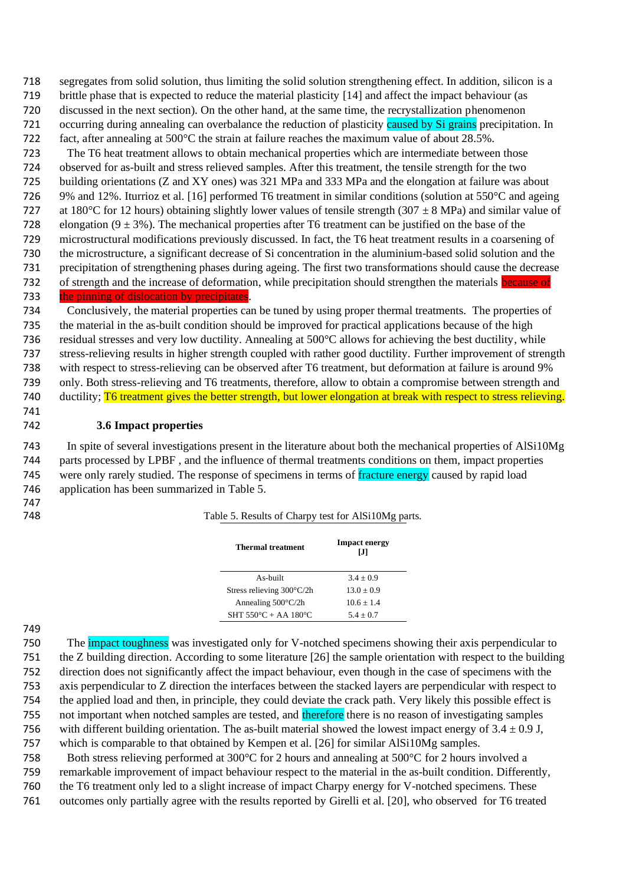segregates from solid solution, thus limiting the solid solution strengthening effect. In addition, silicon is a brittle phase that is expected to reduce the material plasticity [14] and affect the impact behaviour (as discussed in the next section). On the other hand, at the same time, the recrystallization phenomenon 721 occurring during annealing can overbalance the reduction of plasticity caused by Si grains precipitation. In fact, after annealing at 500°C the strain at failure reaches the maximum value of about 28.5%. The T6 heat treatment allows to obtain mechanical properties which are intermediate between those observed for as-built and stress relieved samples. After this treatment, the tensile strength for the two

 building orientations (Z and XY ones) was 321 MPa and 333 MPa and the elongation at failure was about 9% and 12%. Iturrioz et al. [16] performed T6 treatment in similar conditions (solution at 550°C and ageing 727 at 180°C for 12 hours) obtaining slightly lower values of tensile strength (307  $\pm$  8 MPa) and similar value of 728 elongation ( $9 \pm 3\%$ ). The mechanical properties after T6 treatment can be justified on the base of the microstructural modifications previously discussed. In fact, the T6 heat treatment results in a coarsening of the microstructure, a significant decrease of Si concentration in the aluminium-based solid solution and the precipitation of strengthening phases during ageing. The first two transformations should cause the decrease 732 of strength and the increase of deformation, while precipitation should strengthen the materials **because of** 

# the pinning of dislocation by precipitates.

 Conclusively, the material properties can be tuned by using proper thermal treatments. The properties of the material in the as-built condition should be improved for practical applications because of the high 736 residual stresses and very low ductility. Annealing at  $500^{\circ}$ C allows for achieving the best ductility, while stress-relieving results in higher strength coupled with rather good ductility. Further improvement of strength with respect to stress-relieving can be observed after T6 treatment, but deformation at failure is around 9% only. Both stress-relieving and T6 treatments, therefore, allow to obtain a compromise between strength and 740 ductility; T6 treatment gives the better strength, but lower elongation at break with respect to stress relieving.

# **3.6 Impact properties**

 In spite of several investigations present in the literature about both the mechanical properties of AlSi10Mg parts processed by LPBF , and the influence of thermal treatments conditions on them, impact properties 745 were only rarely studied. The response of specimens in terms of fracture energy caused by rapid load application has been summarized in Table 5.

Table 5. Results of Charpy test for AlSi10Mg parts.

| <b>Thermal treatment</b>                 | <b>Impact energy</b><br>Ы |
|------------------------------------------|---------------------------|
| As-built                                 | $3.4 + 0.9$               |
| Stress relieving $300^{\circ}$ C/2h      | $13.0 + 0.9$              |
| Annealing $500^{\circ}$ C/2h             | $10.6 + 1.4$              |
| SHT $550^{\circ}$ C + AA $180^{\circ}$ C | $5.4 + 0.7$               |

750 The impact toughness was investigated only for V-notched specimens showing their axis perpendicular to the Z building direction. According to some literature [26] the sample orientation with respect to the building direction does not significantly affect the impact behaviour, even though in the case of specimens with the axis perpendicular to Z direction the interfaces between the stacked layers are perpendicular with respect to the applied load and then, in principle, they could deviate the crack path. Very likely this possible effect is 755 not important when notched samples are tested, and therefore there is no reason of investigating samples 756 with different building orientation. The as-built material showed the lowest impact energy of  $3.4 \pm 0.9$  J, which is comparable to that obtained by Kempen et al. [26] for similar AlSi10Mg samples.

758 Both stress relieving performed at 300°C for 2 hours and annealing at 500°C for 2 hours involved a remarkable improvement of impact behaviour respect to the material in the as-built condition. Differently, the T6 treatment only led to a slight increase of impact Charpy energy for V-notched specimens. These outcomes only partially agree with the results reported by Girelli et al. [20], who observed for T6 treated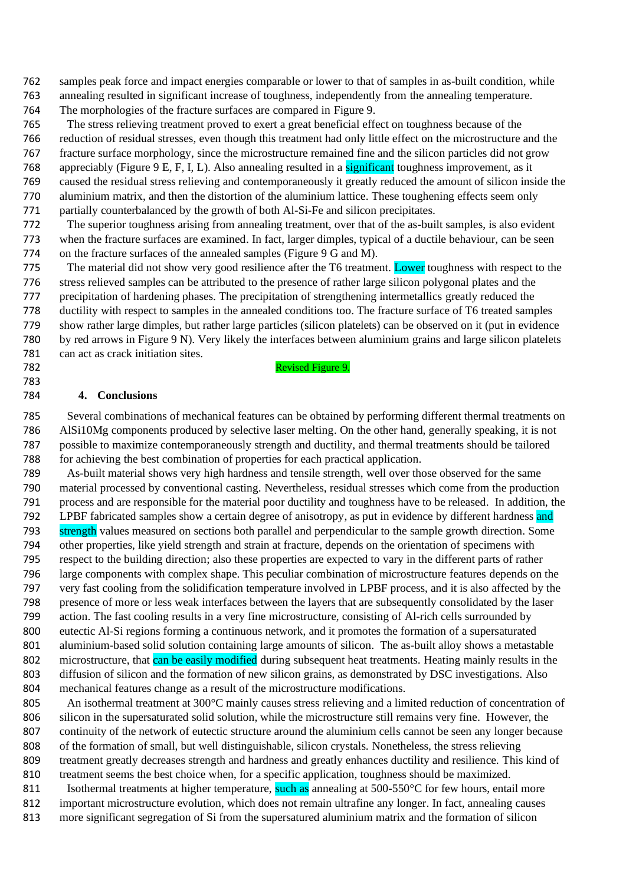samples peak force and impact energies comparable or lower to that of samples in as-built condition, while annealing resulted in significant increase of toughness, independently from the annealing temperature.

The morphologies of the fracture surfaces are compared in Figure 9.

Revised Figure 9.

 The stress relieving treatment proved to exert a great beneficial effect on toughness because of the reduction of residual stresses, even though this treatment had only little effect on the microstructure and the fracture surface morphology, since the microstructure remained fine and the silicon particles did not grow appreciably (Figure 9 E, F, I, L). Also annealing resulted in a significant toughness improvement, as it caused the residual stress relieving and contemporaneously it greatly reduced the amount of silicon inside the aluminium matrix, and then the distortion of the aluminium lattice. These toughening effects seem only

partially counterbalanced by the growth of both Al-Si-Fe and silicon precipitates.

 The superior toughness arising from annealing treatment, over that of the as-built samples, is also evident when the fracture surfaces are examined. In fact, larger dimples, typical of a ductile behaviour, can be seen on the fracture surfaces of the annealed samples (Figure 9 G and M).

775 The material did not show very good resilience after the T6 treatment. Lower toughness with respect to the stress relieved samples can be attributed to the presence of rather large silicon polygonal plates and the precipitation of hardening phases. The precipitation of strengthening intermetallics greatly reduced the ductility with respect to samples in the annealed conditions too. The fracture surface of T6 treated samples show rather large dimples, but rather large particles (silicon platelets) can be observed on it (put in evidence by red arrows in Figure 9 N). Very likely the interfaces between aluminium grains and large silicon platelets 781 can act as crack initiation sites.

## **4. Conclusions**

 Several combinations of mechanical features can be obtained by performing different thermal treatments on AlSi10Mg components produced by selective laser melting. On the other hand, generally speaking, it is not possible to maximize contemporaneously strength and ductility, and thermal treatments should be tailored for achieving the best combination of properties for each practical application.

 As-built material shows very high hardness and tensile strength, well over those observed for the same material processed by conventional casting. Nevertheless, residual stresses which come from the production process and are responsible for the material poor ductility and toughness have to be released. In addition, the 792 LPBF fabricated samples show a certain degree of anisotropy, as put in evidence by different hardness and strength values measured on sections both parallel and perpendicular to the sample growth direction. Some other properties, like yield strength and strain at fracture, depends on the orientation of specimens with respect to the building direction; also these properties are expected to vary in the different parts of rather large components with complex shape. This peculiar combination of microstructure features depends on the very fast cooling from the solidification temperature involved in LPBF process, and it is also affected by the presence of more or less weak interfaces between the layers that are subsequently consolidated by the laser action. The fast cooling results in a very fine microstructure, consisting of Al-rich cells surrounded by eutectic Al-Si regions forming a continuous network, and it promotes the formation of a supersaturated aluminium-based solid solution containing large amounts of silicon. The as-built alloy shows a metastable 802 microstructure, that can be easily modified during subsequent heat treatments. Heating mainly results in the diffusion of silicon and the formation of new silicon grains, as demonstrated by DSC investigations. Also mechanical features change as a result of the microstructure modifications.

805 An isothermal treatment at 300°C mainly causes stress relieving and a limited reduction of concentration of silicon in the supersaturated solid solution, while the microstructure still remains very fine. However, the continuity of the network of eutectic structure around the aluminium cells cannot be seen any longer because of the formation of small, but well distinguishable, silicon crystals. Nonetheless, the stress relieving treatment greatly decreases strength and hardness and greatly enhances ductility and resilience. This kind of treatment seems the best choice when, for a specific application, toughness should be maximized. 811 Isothermal treatments at higher temperature, such as annealing at  $500-550^{\circ}$ C for few hours, entail more

 important microstructure evolution, which does not remain ultrafine any longer. In fact, annealing causes more significant segregation of Si from the supersatured aluminium matrix and the formation of silicon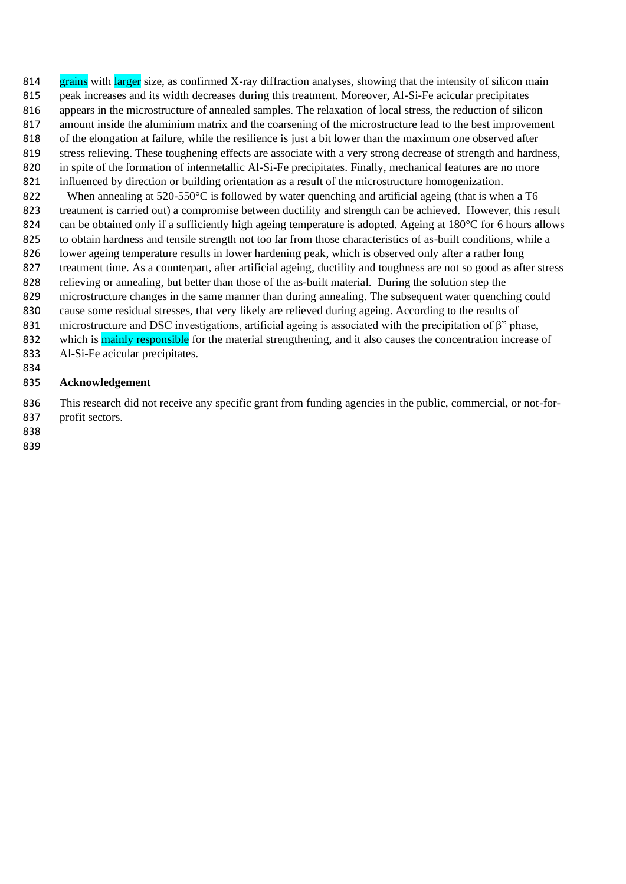814 grains with larger size, as confirmed X-ray diffraction analyses, showing that the intensity of silicon main peak increases and its width decreases during this treatment. Moreover, Al-Si-Fe acicular precipitates appears in the microstructure of annealed samples. The relaxation of local stress, the reduction of silicon amount inside the aluminium matrix and the coarsening of the microstructure lead to the best improvement of the elongation at failure, while the resilience is just a bit lower than the maximum one observed after 819 stress relieving. These toughening effects are associate with a very strong decrease of strength and hardness, in spite of the formation of intermetallic Al-Si-Fe precipitates. Finally, mechanical features are no more influenced by direction or building orientation as a result of the microstructure homogenization. When annealing at 520-550°C is followed by water quenching and artificial ageing (that is when a T6 treatment is carried out) a compromise between ductility and strength can be achieved. However, this result 824 can be obtained only if a sufficiently high ageing temperature is adopted. Ageing at  $180^{\circ}$ C for 6 hours allows to obtain hardness and tensile strength not too far from those characteristics of as-built conditions, while a lower ageing temperature results in lower hardening peak, which is observed only after a rather long treatment time. As a counterpart, after artificial ageing, ductility and toughness are not so good as after stress relieving or annealing, but better than those of the as-built material. During the solution step the microstructure changes in the same manner than during annealing. The subsequent water quenching could cause some residual stresses, that very likely are relieved during ageing. According to the results of microstructure and DSC investigations, artificial ageing is associated with the precipitation of β" phase, 832 which is mainly responsible for the material strengthening, and it also causes the concentration increase of Al-Si-Fe acicular precipitates.

# **Acknowledgement**

 This research did not receive any specific grant from funding agencies in the public, commercial, or not-for-profit sectors.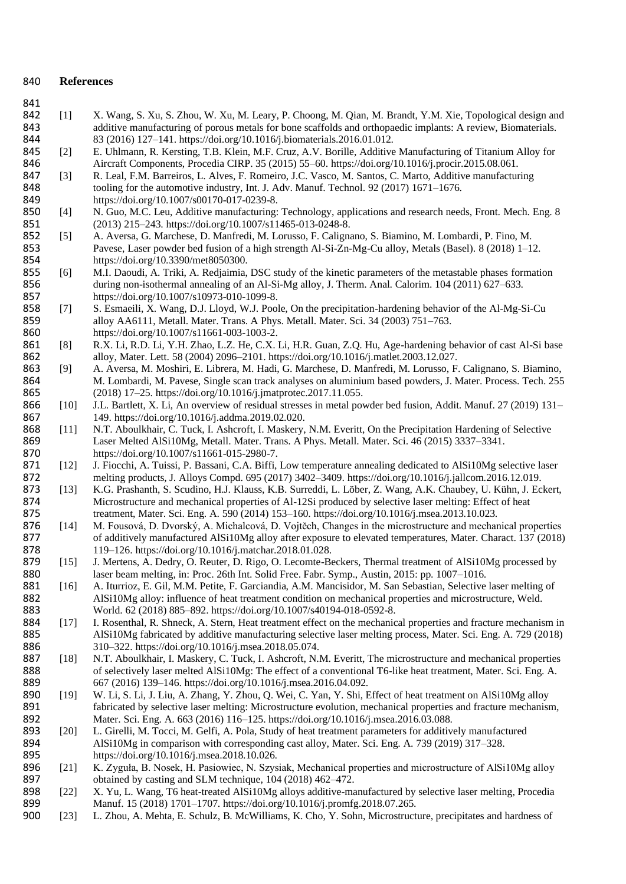#### 840 **References**

- 841<br>842 842 [1] X. Wang, S. Xu, S. Zhou, W. Xu, M. Leary, P. Choong, M. Qian, M. Brandt, Y.M. Xie, Topological design and additive manufacturing of porous metals for bone scaffolds and orthopaedic implants: A review, Biomaterials. 843 additive manufacturing of porous metals for bone scaffolds and orthopaedic implants: A review, Biomaterials.<br>83 (2016) 127–141. https://doi.org/10.1016/j.biomaterials.2016.01.012.
- 844 83 (2016) 127–141. https://doi.org/10.1016/j.biomaterials.2016.01.012.<br>845 [2] E. Uhlmann, R. Kersting, T.B. Klein, M.F. Cruz, A.V. Borille, Additive 845 [2] E. Uhlmann, R. Kersting, T.B. Klein, M.F. Cruz, A.V. Borille, Additive Manufacturing of Titanium Alloy for<br>846 Aircraft Components, Procedia CIRP. 35 (2015) 55–60. https://doi.org/10.1016/j.procir.2015.08.061. 846 Aircraft Components, Procedia CIRP. 35 (2015) 55–60. https://doi.org/10.1016/j.procir.2015.08.061.<br>847 [3] R. Leal, F.M. Barreiros, L. Alves, F. Romeiro, J.C. Vasco, M. Santos, C. Marto, Additive manufactur
- [3] R. Leal, F.M. Barreiros, L. Alves, F. Romeiro, J.C. Vasco, M. Santos, C. Marto, Additive manufacturing 848 tooling for the automotive industry, Int. J. Adv. Manuf. Technol. 92 (2017) 1671–1676.<br>849 https://doi.org/10.1007/s00170-017-0239-8. 849 https://doi.org/10.1007/s00170-017-0239-8.<br>850 [4] N. Guo, M.C. Leu, Additive manufacturing:
- 850 [4] N. Guo, M.C. Leu, Additive manufacturing: Technology, applications and research needs, Front. Mech. Eng. 8<br>851 (2013) 215–243. https://doi.org/10.1007/s11465-013-0248-8. 851 (2013) 215–243. https://doi.org/10.1007/s11465-013-0248-8.<br>852 [5] A. Aversa, G. Marchese, D. Manfredi, M. Lorusso, F. Caligna
- 852 [5] A. Aversa, G. Marchese, D. Manfredi, M. Lorusso, F. Calignano, S. Biamino, M. Lombardi, P. Fino, M. (853)<br>853 Pavese, Laser powder bed fusion of a high strength Al-Si-Zn-Mg-Cu allov. Metals (Basel), 8 (2018) 1–1 853 Pavese, Laser powder bed fusion of a high strength Al-Si-Zn-Mg-Cu alloy, Metals (Basel). 8 (2018) 1–12.<br>854 https://doi.org/10.3390/met8050300. 854 https://doi.org/10.3390/met8050300.<br>855 [6] M.I. Daoudi, A. Triki, A. Rediaimia.
- 855 [6] M.I. Daoudi, A. Triki, A. Redjaimia, DSC study of the kinetic parameters of the metastable phases formation 856 during non-isothermal annealing of an Al-Si-Mg alloy, J. Therm. Anal. Calorim. 104 (2011) 627–633. 857 https://doi.org/10.1007/s10973-010-1099-8.
- 858 [7] S. Esmaeili, X. Wang, D.J. Lloyd, W.J. Poole, On the precipitation-hardening behavior of the Al-Mg-Si-Cu 859 alloy AA6111, Metall. Mater. Trans. A Phys. Metall. Mater. Sci. 34 (2003) 751–763. 860 https://doi.org/10.1007/s11661-003-1003-2.<br>861 [8] R.X. Li, R.D. Li, Y.H. Zhao, L.Z. He, C.X.
- R.X. Li, R.D. Li, Y.H. Zhao, L.Z. He, C.X. Li, H.R. Guan, Z.O. Hu, Age-hardening behavior of cast Al-Si base 862 alloy, Mater. Lett. 58 (2004) 2096–2101. https://doi.org/10.1016/j.matlet.2003.12.027.
- 863 [9] A. Aversa, M. Moshiri, E. Librera, M. Hadi, G. Marchese, D. Manfredi, M. Lorusso, F. Calignano, S. Biamino, 864 M. Lombardi, M. Pavese, Single scan track analyses on aluminium based powders, J. Mater. Process. Tech. 255 865 (2018) 17–25. https://doi.org/10.1016/j.jmatprotec.2017.11.055.<br>866 [10] J.L. Bartlett, X. Li, An overview of residual stresses in metal power
- 866 [10] J.L. Bartlett, X. Li, An overview of residual stresses in metal powder bed fusion, Addit. Manuf. 27 (2019) 131-
- 867 149. https://doi.org/10.1016/j.addma.2019.02.020.<br>868 [11] N.T. Aboulkhair, C. Tuck, I. Ashcroft, I. Maskery, N.T. Aboulkhair, C. Tuck, I. Ashcroft, I. Maskery, N.M. Everitt, On the Precipitation Hardening of Selective 869 Laser Melted AlSi10Mg, Metall. Mater. Trans. A Phys. Metall. Mater. Sci. 46 (2015) 3337–3341.<br>870 https://doi.org/10.1007/s11661-015-2980-7. 870 https://doi.org/10.1007/s11661-015-2980-7.<br>871 [12] J. Fiocchi, A. Tuissi, P. Bassani, C.A. Biffi,
- 871 [12] J. Fiocchi, A. Tuissi, P. Bassani, C.A. Biffi, Low temperature annealing dedicated to AlSi10Mg selective laser<br>872 melting products, J. Alloys Compd. 695 (2017) 3402–3409. https://doi.org/10.1016/i.jallcom.2016.12 872 melting products, J. Alloys Compd. 695 (2017) 3402–3409. https://doi.org/10.1016/j.jallcom.2016.12.019.<br>873 [13] K.G. Prashanth, S. Scudino, H.J. Klauss, K.B. Surreddi, L. Löber, Z. Wang, A.K. Chaubey, U. Kühn, J. Ec
- 873 [13] K.G. Prashanth, S. Scudino, H.J. Klauss, K.B. Surreddi, L. Löber, Z. Wang, A.K. Chaubey, U. Kühn, J. Eckert, Microstructure and mechanical properties of Al-12Si produced by selective laser melting: Effect of heat 874 Microstructure and mechanical properties of Al-12Si produced by selective laser melting: Effect of heat 875 treatment, Mater. Sci. Eng. A. 590 (2014) 153–160. https://doi.org/10.1016/j.msea.2013.10.023.
- 875 treatment, Mater. Sci. Eng. A. 590 (2014) 153–160. https://doi.org/10.1016/j.msea.2013.10.023.<br>876 [14] M. Fousová, D. Dvorský, A. Michalcová, D. Vojtěch, Changes in the microstructure and mechan M. Fousová, D. Dvorský, A. Michalcová, D. Vojtěch, Changes in the microstructure and mechanical properties 877 of additively manufactured AlSi10Mg alloy after exposure to elevated temperatures, Mater. Charact. 137 (2018) 878 119–126. https://doi.org/10.1016/j.matchar.2018.01.028.
- 879 [15] J. Mertens, A. Dedry, O. Reuter, D. Rigo, O. Lecomte-Beckers, Thermal treatment of AlSi10Mg processed by 880 laser beam melting, in: Proc. 26th Int. Solid Free. Fabr. Symp., Austin, 2015: pp. 1007–1016.
- 881 [16] A. Iturrioz, E. Gil, M.M. Petite, F. Garciandia, A.M. Mancisidor, M. San Sebastian, Selective laser melting of AlSi10Mg alloy: influence of heat treatment condition on mechanical properties and microstructure, Wel 882 AlSi10Mg alloy: influence of heat treatment condition on mechanical properties and microstructure, Weld. 883 World. 62 (2018) 885–892. https://doi.org/10.1007/s40194-018-0592-8.
- 884 [17] I. Rosenthal, R. Shneck, A. Stern, Heat treatment effect on the mechanical properties and fracture mechanism in 885 AlSi10Mg fabricated by additive manufacturing selective laser melting process, Mater. Sci. Eng. A. 729 (2018) 886 310–322. https://doi.org/10.1016/j.msea.2018.05.074.
- 887 [18] N.T. Aboulkhair, I. Maskery, C. Tuck, I. Ashcroft, N.M. Everitt, The microstructure and mechanical properties of selectively laser melted AlSi10Mg: The effect of a conventional T6-like heat treatment, Mater. Sci. 888 of selectively laser melted AlSi10Mg: The effect of a conventional T6-like heat treatment, Mater. Sci. Eng. A.<br>889 667 (2016) 139–146. https://doi.org/10.1016/j.msea.2016.04.092. 889 667 (2016) 139–146. https://doi.org/10.1016/j.msea.2016.04.092.
- 890 [19] W. Li, S. Li, J. Liu, A. Zhang, Y. Zhou, Q. Wei, C. Yan, Y. Shi, Effect of heat treatment on AlSi10Mg alloy<br>891 fabricated by selective laser melting: Microstructure evolution, mechanical properties and fracture m 891 fabricated by selective laser melting: Microstructure evolution, mechanical properties and fracture mechanism,<br>892 Mater. Sci. Eng. A. 663 (2016) 116–125. https://doi.org/10.1016/i.msea.2016.03.088. 892 Mater. Sci. Eng. A. 663 (2016) 116–125. https://doi.org/10.1016/j.msea.2016.03.088.<br>893 [20] L. Girelli, M. Tocci, M. Gelfi, A. Pola, Study of heat treatment parameters for additive
- 893 [20] L. Girelli, M. Tocci, M. Gelfi, A. Pola, Study of heat treatment parameters for additively manufactured<br>894 **Alsilometric manufacture** Alsilometric manufacture of the corresponding cast alloy. Mater. Sci. Eng. A. 894 AlSi10Mg in comparison with corresponding cast alloy, Mater. Sci. Eng. A. 739 (2019) 317–328.<br>895 https://doi.org/10.1016/j.msea.2018.10.026. 895 https://doi.org/10.1016/j.msea.2018.10.026.
- 896 [21] K. Zyguła, B. Nosek, H. Pasiowiec, N. Szysiak, Mechanical properties and microstructure of AlSi10Mg alloy 897 obtained by casting and SLM technique, 104 (2018) 462–472.
- 898 [22] X. Yu, L. Wang, T6 heat-treated AlSi10Mg alloys additive-manufactured by selective laser melting, Procedia 899 Manuf. 15 (2018) 1701–1707. https://doi.org/10.1016/j.promfg.2018.07.265.
- 900 [23] L. Zhou, A. Mehta, E. Schulz, B. McWilliams, K. Cho, Y. Sohn, Microstructure, precipitates and hardness of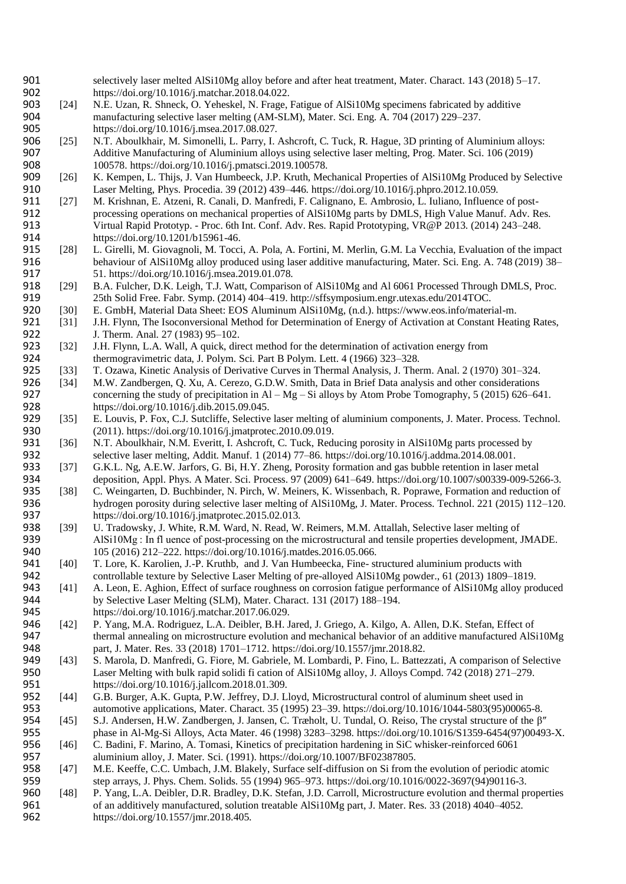- 901 selectively laser melted AlSi10Mg alloy before and after heat treatment, Mater. Charact. 143 (2018) 5–17.<br>902 https://doi.org/10.1016/i.matchar.2018.04.022.
- 902 https://doi.org/10.1016/j.matchar.2018.04.022.<br>903 [24] N.E. Uzan, R. Shneck, O. Yeheskel, N. Frage, N.E. Uzan, R. Shneck, O. Yeheskel, N. Frage, Fatigue of AlSi10Mg specimens fabricated by additive 904 manufacturing selective laser melting (AM-SLM), Mater. Sci. Eng. A. 704 (2017) 229–237. 905 https://doi.org/10.1016/j.msea.2017.08.027.
- 906 [25] N.T. Aboulkhair, M. Simonelli, L. Parry, I. Ashcroft, C. Tuck, R. Hague, 3D printing of Aluminium alloys: 907 Additive Manufacturing of Aluminium alloys using selective laser melting, Prog. Mater. Sci. 106 (2019) 908 100578. https://doi.org/10.1016/j.pmatsci.2019.100578.<br>909 [26] K. Kempen, L. Thijs, J. Van Humbeeck, J.P. Kruth, Mec
- 909 [26] K. Kempen, L. Thijs, J. Van Humbeeck, J.P. Kruth, Mechanical Properties of AlSi10Mg Produced by Selective<br>910 Laser Melting, Phys. Procedia. 39 (2012) 439–446. https://doi.org/10.1016/i.phpro.2012.10.059. 910 Laser Melting, Phys. Procedia. 39 (2012) 439–446. https://doi.org/10.1016/j.phpro.2012.10.059.<br>911 [27] M. Krishnan, E. Atzeni, R. Canali, D. Manfredi, F. Calignano, E. Ambrosio, L. Iuliano, Influence
- 911 [27] M. Krishnan, E. Atzeni, R. Canali, D. Manfredi, F. Calignano, E. Ambrosio, L. Iuliano, Influence of post-<br>912 consessing operations on mechanical properties of AlSi10Mg parts by DMLS, High Value Manuf. Adv. R 912 processing operations on mechanical properties of AlSi10Mg parts by DMLS, High Value Manuf. Adv. Res.<br>913 Virtual Rapid Prototyp. - Proc. 6th Int. Conf. Adv. Res. Rapid Prototyping. VR@P 2013. (2014) 243–248. 913 Virtual Rapid Prototyp. - Proc. 6th Int. Conf. Adv. Res. Rapid Prototyping, VR@P 2013. (2014) 243–248.<br>914 Internal Rapid Prototyp (10.1201/b15961-46. https://doi.org/10.1201/b15961-46.
- 915 [28] L. Girelli, M. Giovagnoli, M. Tocci, A. Pola, A. Fortini, M. Merlin, G.M. La Vecchia, Evaluation of the impact 916 behaviour of AlSi10Mg alloy produced using laser additive manufacturing, Mater. Sci. Eng. A. 748 (2019) 38– 917 51. https://doi.org/10.1016/j.msea.2019.01.078.<br>
918 [29] B.A. Fulcher, D.K. Leigh, T.J. Watt, Comparison
- 918 [29] B.A. Fulcher, D.K. Leigh, T.J. Watt, Comparison of AlSi10Mg and Al 6061 Processed Through DMLS, Proc.<br>919 25th Solid Free. Fabr. Symp. (2014) 404–419. http://sffsymposium.engr.utexas.edu/2014TOC. 919 25th Solid Free. Fabr. Symp. (2014) 404–419. http://sffsymposium.engr.utexas.edu/2014TOC.<br>920 5301 E. GmbH. Material Data Sheet: EOS Aluminum AlSi10Mg. (n.d.). https://www.eos.info/materi
- 920 [30] E. GmbH, Material Data Sheet: EOS Aluminum AlSi10Mg, (n.d.). https://www.eos.info/material-m.<br>921 [31] J.H. Flynn, The Isoconversional Method for Determination of Energy of Activation at Constant Heat
- 921 [31] J.H. Flynn, The Isoconversional Method for Determination of Energy of Activation at Constant Heating Rates,<br>922 J. Therm. Anal. 27 (1983) 95–102. 922 J. Therm. Anal. 27 (1983) 95–102.<br>923 [32] J.H. Flynn, L.A. Wall, A quick, direction
- 923 [32] J.H. Flynn, L.A. Wall, A quick, direct method for the determination of activation energy from<br>924 thermogravimetric data, J. Polym. Sci. Part B Polym. Lett. 4 (1966) 323–328. 924 thermogravimetric data, J. Polym. Sci. Part B Polym. Lett. 4 (1966) 323–328.<br>925 [33] T. Ozawa, Kinetic Analysis of Derivative Curves in Thermal Analysis, J. The
- 925 [33] T. Ozawa, Kinetic Analysis of Derivative Curves in Thermal Analysis, J. Therm. Anal. 2 (1970) 301–324.
- 926 [34] M.W. Zandbergen, Q. Xu, A. Cerezo, G.D.W. Smith, Data in Brief Data analysis and other considerations concerning the study of precipitation in Al Mg Si alloys by Atom Probe Tomography, 5 (2015) 626–64 927 concerning the study of precipitation in Al – Mg – Si alloys by Atom Probe Tomography, 5 (2015) 626–641.<br>928 https://doi.org/10.1016/j.dib.2015.09.045. 928 https://doi.org/10.1016/j.dib.2015.09.045.<br>929 [35] E. Louvis, P. Fox, C.J. Sutcliffe, Selective
- 929 [35] E. Louvis, P. Fox, C.J. Sutcliffe, Selective laser melting of aluminium components, J. Mater. Process. Technol.<br>930 (2011). https://doi.org/10.1016/j.jmatprotec.2010.09.019. 930 (2011). https://doi.org/10.1016/j.jmatprotec.2010.09.019.<br>931 [36] N.T. Aboulkhair, N.M. Everitt, I. Ashcroft, C. Tuck, Redi
- 931 [36] N.T. Aboulkhair, N.M. Everitt, I. Ashcroft, C. Tuck, Reducing porosity in AlSi10Mg parts processed by<br>932 selective laser melting, Addit. Manuf. 1 (2014) 77–86. https://doi.org/10.1016/j.addma.2014.08.001. 932 selective laser melting, Addit. Manuf. 1 (2014) 77–86. https://doi.org/10.1016/j.addma.2014.08.001.<br>933 [37] G.K.L. Ng, A.E.W. Jarfors, G. Bi, H.Y. Zheng, Porosity formation and gas bubble retention in laser n
- 933 [37] G.K.L. Ng, A.E.W. Jarfors, G. Bi, H.Y. Zheng, Porosity formation and gas bubble retention in laser metal<br>934 deposition, Appl. Phys. A Mater. Sci. Process. 97 (2009) 641–649. https://doi.org/10.1007/s00339-009-52 934 deposition, Appl. Phys. A Mater. Sci. Process. 97 (2009) 641–649. https://doi.org/10.1007/s00339-009-5266-3.<br>935 [38] C. Weingarten, D. Buchbinder, N. Pirch, W. Meiners, K. Wissenbach, R. Poprawe, Formation and reducti
- 935 [38] C. Weingarten, D. Buchbinder, N. Pirch, W. Meiners, K. Wissenbach, R. Poprawe, Formation and reduction of hydrogen porosity during selective laser melting of AlSi10Mg, J. Mater. Process. Technol. 221 (2015) 112–12 hydrogen porosity during selective laser melting of AlSi10Mg, J. Mater. Process. Technol. 221 (2015) 112–120. 937 https://doi.org/10.1016/j.jmatprotec.2015.02.013.
- 938 [39] U. Tradowsky, J. White, R.M. Ward, N. Read, W. Reimers, M.M. Attallah, Selective laser melting of AlSi10Mg: In fluence of post-processing on the microstructural and tensile properties development. 939 AlSi10Mg : In fl uence of post-processing on the microstructural and tensile properties development, JMADE.<br>940 105 (2016) 212–222. https://doi.org/10.1016/j.matdes.2016.05.066. 940 105 (2016) 212–222. https://doi.org/10.1016/j.matdes.2016.05.066.<br>941 [40] T. Lore, K. Karolien, J.-P. Kruthb, and J. Van Humbeecka, Fine-st
- 941 [40] T. Lore, K. Karolien, J.-P. Kruthb, and J. Van Humbeecka, Fine- structured aluminium products with controllable texture by Selective Laser Melting of pre-alloyed AlSi10Mg powder., 61 (2013) 1809–18 942 controllable texture by Selective Laser Melting of pre-alloyed AlSi10Mg powder., 61 (2013) 1809–1819.<br>943 [41] A. Leon, E. Aghion, Effect of surface roughness on corrosion fatigue performance of AlSi10Mg alloy pro
- 943 [41] A. Leon, E. Aghion, Effect of surface roughness on corrosion fatigue performance of AlSi10Mg alloy produced 944 by Selective Laser Melting (SLM), Mater. Charact. 131 (2017) 188–194.
- 945 https://doi.org/10.1016/j.matchar.2017.06.029.
- 946 [42] P. Yang, M.A. Rodriguez, L.A. Deibler, B.H. Jared, J. Griego, A. Kilgo, A. Allen, D.K. Stefan, Effect of thermal annealing on microstructure evolution and mechanical behavior of an additive manufactured AlS 947 thermal annealing on microstructure evolution and mechanical behavior of an additive manufactured AlSi10Mg<br>948 part, J. Mater. Res. 33 (2018) 1701–1712. https://doi.org/10.1557/jmr.2018.82. 948 part, J. Mater. Res. 33 (2018) 1701–1712. https://doi.org/10.1557/jmr.2018.82.<br>949 [43] S. Marola, D. Manfredi, G. Fiore, M. Gabriele, M. Lombardi, P. Fino, L. Battez
- 949 [43] S. Marola, D. Manfredi, G. Fiore, M. Gabriele, M. Lombardi, P. Fino, L. Battezzati, A comparison of Selective<br>950 Laser Melting with bulk rapid solidi fi cation of AlSi10Mg alloy, J. Alloys Compd. 742 (2018) 271–2 950 Laser Melting with bulk rapid solidi fi cation of AlSi10Mg alloy, J. Alloys Compd. 742 (2018) 271–279.<br>951 https://doi.org/10.1016/j.jallcom.2018.01.309. 951 https://doi.org/10.1016/j.jallcom.2018.01.309.<br>952 [44] G.B. Burger, A.K. Gupta, P.W. Jeffrey, D.J. L.
- 952 [44] G.B. Burger, A.K. Gupta, P.W. Jeffrey, D.J. Lloyd, Microstructural control of aluminum sheet used in automotive applications, Mater. Charact. 35 (1995) 23–39. https://doi.org/10.1016/1044-5803(95)0006 953 automotive applications, Mater. Charact. 35 (1995) 23–39. https://doi.org/10.1016/1044-5803(95)00065-8.
- 954 [45] S.J. Andersen, H.W. Zandbergen, J. Jansen, C. Træholt, U. Tundal, O. Reiso, The crystal structure of the β″ 955 phase in Al-Mg-Si Alloys, Acta Mater. 46 (1998) 3283–3298. https://doi.org/10.1016/S1359-6454(97)00493-X.
- 956 [46] C. Badini, F. Marino, A. Tomasi, Kinetics of precipitation hardening in SiC whisker-reinforced 6061 957 aluminium alloy, J. Mater. Sci. (1991). https://doi.org/10.1007/BF02387805.
- 958 [47] M.E. Keeffe, C.C. Umbach, J.M. Blakely, Surface self-diffusion on Si from the evolution of periodic atomic<br>959 step arrays, J. Phys. Chem. Solids. 55 (1994) 965–973. https://doi.org/10.1016/0022-3697(94)90116-3. step arrays, J. Phys. Chem. Solids. 55 (1994) 965–973. https://doi.org/10.1016/0022-3697(94)90116-3.<br>
[48] P. Yang, L.A. Deibler, D.R. Bradley, D.K. Stefan, J.D. Carroll, Microstructure evolution and thermal pr
- 960 [48] P. Yang, L.A. Deibler, D.R. Bradley, D.K. Stefan, J.D. Carroll, Microstructure evolution and thermal properties 961 of an additively manufactured, solution treatable AlSi10Mg part, J. Mater. Res. 33 (2018) 4040–4052. 962 https://doi.org/10.1557/jmr.2018.405.